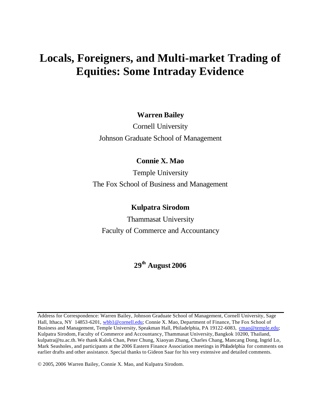# **Locals, Foreigners, and Multi-market Trading of Equities: Some Intraday Evidence**

# **Warren Bailey**

Cornell University Johnson Graduate School of Management

# **Connie X. Mao**

Temple University The Fox School of Business and Management

# **Kulpatra Sirodom**

Thammasat University Faculty of Commerce and Accountancy

# **29th August 2006**

Address for Correspondence: Warren Bailey, Johnson Graduate School of Management, Cornell University, Sage Hall, Ithaca, NY 14853-6201, wbb1@cornell.edu; Connie X. Mao, Department of Finance, The Fox School of Business and Management, Temple University, Speakman Hall, Philadelphia, PA 19122-6083, cmao@temple.edu; Kulpatra Sirodom, Faculty of Commerce and Accountancy, Thammasat University, Bangkok 10200, Thailand, kulpatra@tu.ac.th. We thank Kalok Chan, Peter Chung, Xiaoyan Zhang, Charles Chang, Mancang Dong, Ingrid Lo, Mark Seasholes, and participants at the 2006 Eastern Finance Association meetings in Philadelphia for comments on earlier drafts and other assistance. Special thanks to Gideon Saar for his very extensive and detailed comments.

© 2005, 2006 Warren Bailey, Connie X. Mao, and Kulpatra Sirodom.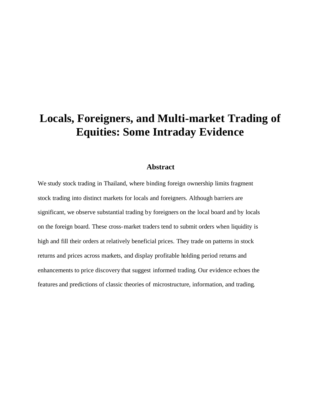# **Locals, Foreigners, and Multi-market Trading of Equities: Some Intraday Evidence**

## **Abstract**

We study stock trading in Thailand, where binding foreign ownership limits fragment stock trading into distinct markets for locals and foreigners. Although barriers are significant, we observe substantial trading by foreigners on the local board and by locals on the foreign board. These cross-market traders tend to submit orders when liquidity is high and fill their orders at relatively beneficial prices. They trade on patterns in stock returns and prices across markets, and display profitable holding period returns and enhancements to price discovery that suggest informed trading. Our evidence echoes the features and predictions of classic theories of microstructure, information, and trading.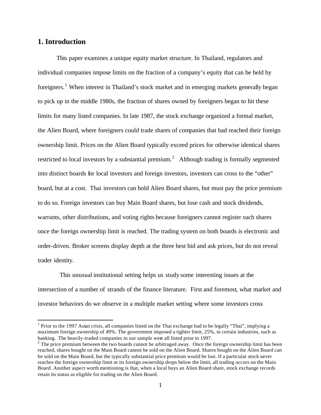# **1. Introduction**

 $\overline{a}$ 

This paper examines a unique equity market structure. In Thailand, regulators and individual companies impose limits on the fraction of a company's equity that can be held by foreigners.<sup>1</sup> When interest in Thailand's stock market and in emerging markets generally began to pick up in the middle 1980s, the fraction of shares owned by foreigners began to hit these limits for many listed companies. In late 1987, the stock exchange organized a formal market, the Alien Board, where foreigners could trade shares of companies that had reached their foreign ownership limit. Prices on the Alien Board typically exceed prices for otherwise identical shares restricted to local investors by a substantial premium.<sup>2</sup> Although trading is formally segmented into distinct boards for local investors and foreign investors, investors can cross to the "other" board, but at a cost. Thai investors can hold Alien Board shares, but must pay the price premium to do so. Foreign investors can buy Main Board shares, but lose cash and stock dividends, warrants, other distributions, and voting rights because foreigners cannot register such shares once the foreign ownership limit is reached. The trading system on both boards is electronic and order-driven. Broker screens display depth at the three best bid and ask prices, but do not reveal trader identity.

 This unusual institutional setting helps us study some interesting issues at the intersection of a number of strands of the finance literature. First and foremost, what market and investor behaviors do we observe in a multiple market setting where some investors cross

<sup>&</sup>lt;sup>1</sup> Prior to the 1997 Asian crisis, all companies listed on the Thai exchange had to be legally "Thai", implying a maximum foreign ownership of 49%. The government imposed a tighter limit, 25%, in certain industries, such as banking. The heavily-traded companies in our sample were all listed prior to 1997.

<sup>&</sup>lt;sup>2</sup> The price premium between the two boards cannot be arbitraged away. Once the foreign ownership limit has been reached, shares bought on the Main Board cannot be sold on the Alien Board. Shares bought on the Alien Board can be sold on the Main Board, but the typically substantial price premium would be lost. If a particular stock never reaches the foreign ownership limit or its foreign ownership drops below the limit, all trading occurs on the Main Board. Another aspect worth mentioning is that, when a local buys an Alien Board share, stock exchange records retain its status as eligible for trading on the Alien Board.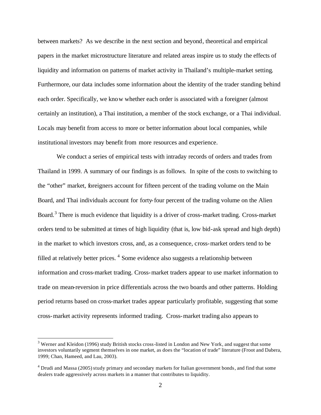between markets? As we describe in the next section and beyond, theoretical and empirical papers in the market microstructure literature and related areas inspire us to study the effects of liquidity and information on patterns of market activity in Thailand's multiple-market setting. Furthermore, our data includes some information about the identity of the trader standing behind each order. Specifically, we know whether each order is associated with a foreigner (almost certainly an institution), a Thai institution, a member of the stock exchange, or a Thai individual. Locals may benefit from access to more or better information about local companies, while institutional investors may benefit from more resources and experience.

We conduct a series of empirical tests with intraday records of orders and trades from Thailand in 1999. A summary of our findings is as follows. In spite of the costs to switching to the "other" market, foreigners account for fifteen percent of the trading volume on the Main Board, and Thai individuals account for forty-four percent of the trading volume on the Alien Board.<sup>3</sup> There is much evidence that liquidity is a driver of cross-market trading. Cross-market orders tend to be submitted at times of high liquidity (that is, low bid-ask spread and high depth) in the market to which investors cross, and, as a consequence, cross-market orders tend to be filled at relatively better prices. <sup>4</sup> Some evidence also suggests a relationship between information and cross-market trading. Cross-market traders appear to use market information to trade on mean-reversion in price differentials across the two boards and other patterns. Holding period returns based on cross-market trades appear particularly profitable, suggesting that some cross-market activity represents informed trading. Cross-market trading also appears to

 $3$  Werner and Kleidon (1996) study British stocks cross-listed in London and New York, and suggest that some investors voluntarily segment themselves in one market, as does the "location of trade" literature (Froot and Dabera, 1999; Chan, Hameed, and Lau, 2003).

<sup>&</sup>lt;sup>4</sup> Drudi and Massa (2005) study primary and secondary markets for Italian government bonds, and find that some dealers trade aggressively across markets in a manner that contributes to liquidity.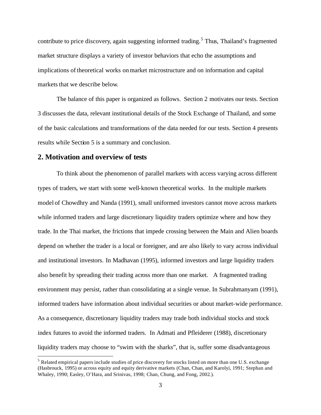contribute to price discovery, again suggesting informed trading.<sup>5</sup> Thus, Thailand's fragmented market structure displays a variety of investor behaviors that echo the assumptions and implications of theoretical works on market microstructure and on information and capital markets that we describe below.

The balance of this paper is organized as follows. Section 2 motivates our tests. Section 3 discusses the data, relevant institutional details of the Stock Exchange of Thailand, and some of the basic calculations and transformations of the data needed for our tests. Section 4 presents results while Section 5 is a summary and conclusion.

#### **2. Motivation and overview of tests**

 $\overline{a}$ 

To think about the phenomenon of parallel markets with access varying across different types of traders, we start with some well-known theoretical works. In the multiple markets model of Chowdhry and Nanda (1991), small uniformed investors cannot move across markets while informed traders and large discretionary liquidity traders optimize where and how they trade. In the Thai market, the frictions that impede crossing between the Main and Alien boards depend on whether the trader is a local or foreigner, and are also likely to vary across individual and institutional investors. In Madhavan (1995), informed investors and large liquidity traders also benefit by spreading their trading across more than one market. A fragmented trading environment may persist, rather than consolidating at a single venue. In Subrahmanyam (1991), informed traders have information about individual securities or about market-wide performance. As a consequence, discretionary liquidity traders may trade both individual stocks and stock index futures to avoid the informed traders. In Admati and Pfleiderer (1988), discretionary liquidity traders may choose to "swim with the sharks", that is, suffer some disadvantageous

 $<sup>5</sup>$  Related empirical papers include studies of price discovery for stocks listed on more than one U.S. exchange</sup> (Hasbrouck, 1995) or across equity and equity derivative markets (Chan, Chan, and Karolyi, 1991; Stephan and Whaley, 1990; Easley, O'Hara, and Srinivas, 1998; Chan, Chung, and Fong, 2002.).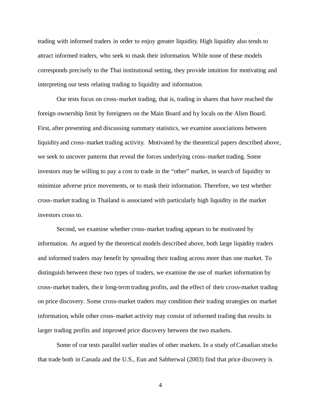trading with informed traders in order to enjoy greater liquidity. High liquidity also tends to attract informed traders, who seek to mask their information. While none of these models corresponds precisely to the Thai institutional setting, they provide intuition for motivating and interpreting our tests relating trading to liquidity and information.

Our tests focus on cross-market trading, that is, trading in shares that have reached the foreign ownership limit by foreigners on the Main Board and by locals on the Alien Board. First, after presenting and discussing summary statistics, we examine associations between liquidity and cross-market trading activity. Motivated by the theoretical papers described above, we seek to uncover patterns that reveal the forces underlying cross-market trading. Some investors may be willing to pay a cost to trade in the "other" market, in search of liquidity to minimize adverse price movements, or to mask their information. Therefore, we test whether cross-market trading in Thailand is associated with particularly high liquidity in the market investors cross to.

Second, we examine whether cross-market trading appears to be motivated by information. As argued by the theoretical models described above, both large liquidity traders and informed traders may benefit by spreading their trading across more than one market. To distinguish between these two types of traders, we examine the use of market information by cross-market traders, the ir long-term trading profits, and the effect of their cross-market trading on price discovery. Some cross-market traders may condition their trading strategies on market information, while other cross-market activity may consist of informed trading that results in larger trading profits and improved price discovery between the two markets.

Some of our tests parallel earlier studies of other markets. In a study of Canadian stocks that trade both in Canada and the U.S., Eun and Sabherwal (2003) find that price discovery is

4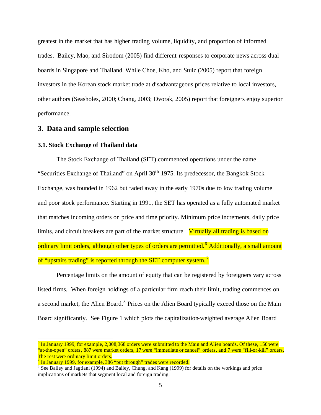greatest in the market that has higher trading volume, liquidity, and proportion of informed trades. Bailey, Mao, and Sirodom (2005) find different responses to corporate news across dual boards in Singapore and Thailand. While Choe, Kho, and Stulz (2005) report that foreign investors in the Korean stock market trade at disadvantageous prices relative to local investors, other authors (Seasholes, 2000; Chang, 2003; Dvorak, 2005) report that foreigners enjoy superior performance.

# **3. Data and sample selection**

#### **3.1. Stock Exchange of Thailand data**

The Stock Exchange of Thailand (SET) commenced operations under the name "Securities Exchange of Thailand" on April  $30<sup>th</sup>$  1975. Its predecessor, the Bangkok Stock Exchange, was founded in 1962 but faded away in the early 1970s due to low trading volume and poor stock performance. Starting in 1991, the SET has operated as a fully automated market that matches incoming orders on price and time priority. Minimum price increments, daily price limits, and circuit breakers are part of the market structure. Virtually all trading is based on ordinary limit orders, although other types of orders are permitted.<sup>6</sup> Additionally, a small amount of "upstairs trading" is reported through the SET computer system.<sup>7</sup>

Percentage limits on the amount of equity that can be registered by foreigners vary across listed firms. When foreign holdings of a particular firm reach their limit, trading commences on a second market, the Alien Board.<sup>8</sup> Prices on the Alien Board typically exceed those on the Main Board significantly. See Figure 1 which plots the capitalization-weighted average Alien Board

 $^6$  In January 1999, for example, 2,008,368 orders were submitted to the Main and Alien boards. Of these, 150 were "at-the-open" orders, 887 were market orders, 17 were "immediate or cancel" orders, and 7 were "fill-or-kill" orders. The rest were ordinary limit orders.

<sup>7</sup> In January 1999, for example, 386 "put through" trades were recorded.

 $8$  See Bailey and Jagtiani (1994) and Bailey, Chung, and Kang (1999) for details on the workings and price implications of markets that segment local and foreign trading.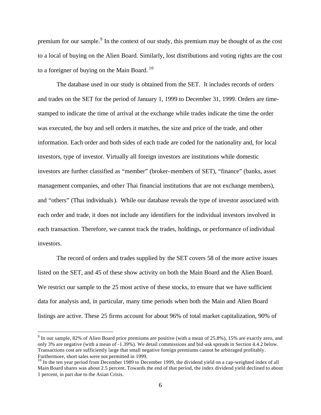premium for our sample.<sup>9</sup> In the context of our study, this premium may be thought of as the cost to a local of buying on the Alien Board. Similarly, lost distributions and voting rights are the cost to a foreigner of buving on the Main Board.  $10$ 

The database used in our study is obtained from the SET. It includes records of orders and trades on the SET for the period of January 1, 1999 to December 31, 1999. Orders are timestamped to indicate the time of arrival at the exchange while trades indicate the time the order was executed, the buy and sell orders it matches, the size and price of the trade, and other information. Each order and both sides of each trade are coded for the nationality and, for local investors, type of investor. Virtually all foreign investors are institutions while domestic investors are further classified as "member" (broker-members of SET), "finance" (banks, asset management companies, and other Thai financial institutions that are not exchange members), and "others" (Thai individuals). While our database reveals the type of investor associated with each order and trade, it does not include any identifiers for the individual investors involved in each transaction. Therefore, we cannot track the trades, holdings, or performance of individual investors.

The record of orders and trades supplied by the SET covers 58 of the more active issues listed on the SET, and 45 of these show activity on both the Main Board and the Alien Board. We restrict our sample to the 25 most active of these stocks, to ensure that we have sufficient data for analysis and, in particular, many time periods when both the Main and Alien Board listings are active. These 25 firms account for about 96% of total market capitalization, 90% of

 $9$  In our sample, 82% of Alien Board price premiums are positive (with a mean of 25.8%), 15% are exactly zero, and only 3% are negative (with a mean of -1.39%). We detail commissions and bid-ask spreads in Section 4.4.2 below. Transactions cost are sufficiently large that small negative foreign premiums cannot be arbitraged profitably. Furthermore, short sales were not permitted in 1999.

 $10$  In the ten year period from December 1989 to December 1999, the dividend yield on a cap-weighted index of all Main Board shares was about 2.5 percent. Towards the end of that period, the index dividend yield declined to about 1 percent, in part due to the Asian Crisis.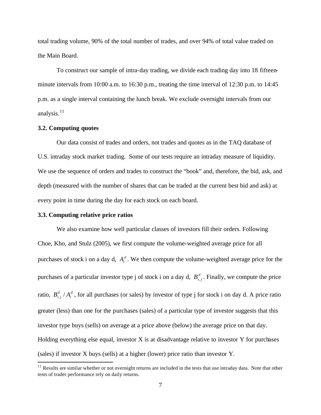total trading volume, 90% of the total number of trades, and over 94% of total value traded on the Main Board.

To construct our sample of intra-day trading, we divide each trading day into 18 fifteenminute intervals from 10:00 a.m. to 16:30 p.m., treating the time interval of 12:30 p.m. to 14:45 p.m. as a single interval containing the lunch break. We exclude overnight intervals from our analysis.<sup>11</sup>

#### **3.2. Computing quotes**

Our data consist of trades and orders, not trades and quotes as in the TAQ database of U.S. intraday stock market trading. Some of our tests require an intraday measure of liquidity. We use the sequence of orders and trades to construct the "book" and, therefore, the bid, ask, and depth (measured with the number of shares that can be traded at the current best bid and ask) at every point in time during the day for each stock on each board.

#### **3.3. Computing relative price ratios**

 $\overline{a}$ 

We also examine how well particular classes of investors fill their orders. Following Choe, Kho, and Stulz (2005), we first compute the volume-weighted average price for all purchases of stock i on a day d,  $A_i^d$ . We then compute the volume-weighted average price for the purchases of a particular investor type j of stock i on a day d,  $B_{i,j}^d$ . Finally, we compute the price ratio,  $B_{i,j}^d / A_i^d$  $B_{i,j}^d / A_i^d$ , for all purchases (or sales) by investor of type j for stock i on day d. A price ratio greater (less) than one for the purchases (sales) of a particular type of investor suggests that this investor type buys (sells) on average at a price above (below) the average price on that day. Holding everything else equal, investor X is at disadvantage relative to investor Y for purchases (sales) if investor X buys (sells) at a higher (lower) price ratio than investor Y.

 $11$  Results are similar whether or not overnight returns are included in the tests that use intraday data. Note that other tests of trader performance rely on daily returns.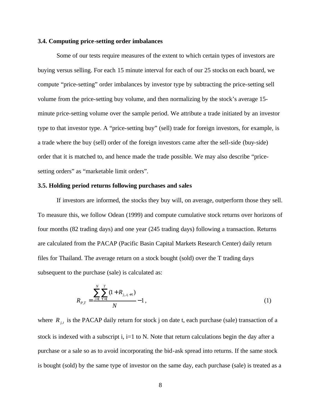#### **3.4. Computing price-setting order imbalances**

Some of our tests require measures of the extent to which certain types of investors are buying versus selling. For each 15 minute interval for each of our 25 stocks on each board, we compute "price-setting" order imbalances by investor type by subtracting the price-setting sell volume from the price-setting buy volume, and then normalizing by the stock's average 15 minute price-setting volume over the sample period. We attribute a trade initiated by an investor type to that investor type. A "price-setting buy" (sell) trade for foreign investors, for example, is a trade where the buy (sell) order of the foreign investors came after the sell-side (buy-side) order that it is matched to, and hence made the trade possible. We may also describe "pricesetting orders" as "marketable limit orders".

#### **3.5. Holding period returns following purchases and sales**

If investors are informed, the stocks they buy will, on average, outperform those they sell. To measure this, we follow Odean (1999) and compute cumulative stock returns over horizons of four months (82 trading days) and one year (245 trading days) following a transaction. Returns are calculated from the PACAP (Pacific Basin Capital Markets Research Center) daily return files for Thailand. The average return on a stock bought (sold) over the T trading days subsequent to the purchase (sale) is calculated as:

$$
R_{P,T} = \frac{\sum_{i=1}^{N} \sum_{t=1}^{T} (1 + R_{j_i, t_i + t})}{N} - 1, \qquad (1)
$$

where  $R_{j,t}$  is the PACAP daily return for stock j on date t, each purchase (sale) transaction of a stock is indexed with a subscript i,  $i=1$  to N. Note that return calculations begin the day after a purchase or a sale so as to avoid incorporating the bid-ask spread into returns. If the same stock is bought (sold) by the same type of investor on the same day, each purchase (sale) is treated as a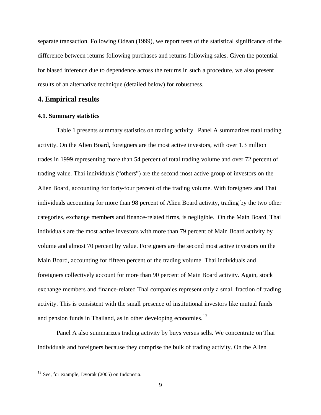separate transaction. Following Odean (1999), we report tests of the statistical significance of the difference between returns following purchases and returns following sales. Given the potential for biased inference due to dependence across the returns in such a procedure, we also present results of an alternative technique (detailed below) for robustness.

# **4. Empirical results**

#### **4.1. Summary statistics**

Table 1 presents summary statistics on trading activity. Panel A summarizes total trading activity. On the Alien Board, foreigners are the most active investors, with over 1.3 million trades in 1999 representing more than 54 percent of total trading volume and over 72 percent of trading value. Thai individuals ("others") are the second most active group of investors on the Alien Board, accounting for forty-four percent of the trading volume. With foreigners and Thai individuals accounting for more than 98 percent of Alien Board activity, trading by the two other categories, exchange members and finance-related firms, is negligible. On the Main Board, Thai individuals are the most active investors with more than 79 percent of Main Board activity by volume and almost 70 percent by value. Foreigners are the second most active investors on the Main Board, accounting for fifteen percent of the trading volume. Thai individuals and foreigners collectively account for more than 90 percent of Main Board activity. Again, stock exchange members and finance-related Thai companies represent only a small fraction of trading activity. This is consistent with the small presence of institutional investors like mutual funds and pension funds in Thailand, as in other developing economies. $^{12}$ 

Panel A also summarizes trading activity by buys versus sells. We concentrate on Thai individuals and foreigners because they comprise the bulk of trading activity. On the Alien

 $12$  See, for example, Dvorak (2005) on Indonesia.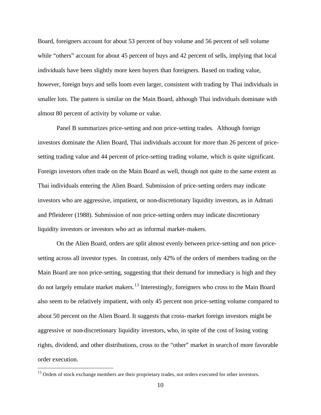Board, foreigners account for about 53 percent of buy volume and 56 percent of sell volume while "others" account for about 45 percent of buys and 42 percent of sells, implying that local individuals have been slightly more keen buyers than foreigners. Based on trading value, however, foreign buys and sells loom even larger, consistent with trading by Thai individuals in smaller lots. The pattern is similar on the Main Board, although Thai individuals dominate with almost 80 percent of activity by volume or value.

Panel B summarizes price-setting and non price-setting trades. Although foreign investors dominate the Alien Board, Thai individuals account for more than 26 percent of pricesetting trading value and 44 percent of price-setting trading volume, which is quite significant. Foreign investors often trade on the Main Board as well, though not quite to the same extent as Thai individuals entering the Alien Board. Submission of price-setting orders may indicate investors who are aggressive, impatient, or non-discretionary liquidity investors, as in Admati and Pfleiderer (1988). Submission of non price-setting orders may indicate discretionary liquidity investors or investors who act as informal market-makers.

On the Alien Board, orders are split almost evenly between price-setting and non pricesetting across all investor types. In contrast, only 42% of the orders of members trading on the Main Board are non price-setting, suggesting that their demand for immediacy is high and they do not largely emulate market makers.<sup>13</sup> Interestingly, foreigners who cross to the Main Board also seem to be relatively impatient, with only 45 percent non price-setting volume compared to about 50 percent on the Alien Board. It suggests that cross-market foreign investors might be aggressive or non-discretionary liquidity investors, who, in spite of the cost of losing voting rights, dividend, and other distributions, cross to the "other" market in search of more favorable order execution.

<sup>&</sup>lt;sup>13</sup> Orders of stock exchange members are their proprietary trades, not orders executed for other investors.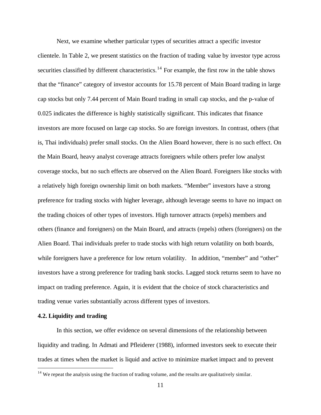Next, we examine whether particular types of securities attract a specific investor clientele. In Table 2, we present statistics on the fraction of trading value by investor type across securities classified by different characteristics.<sup>14</sup> For example, the first row in the table shows that the "finance" category of investor accounts for 15.78 percent of Main Board trading in large cap stocks but only 7.44 percent of Main Board trading in small cap stocks, and the p-value of 0.025 indicates the difference is highly statistically significant. This indicates that finance investors are more focused on large cap stocks. So are foreign investors. In contrast, others (that is, Thai individuals) prefer small stocks. On the Alien Board however, there is no such effect. On the Main Board, heavy analyst coverage attracts foreigners while others prefer low analyst coverage stocks, but no such effects are observed on the Alien Board. Foreigners like stocks with a relatively high foreign ownership limit on both markets. "Member" investors have a strong preference for trading stocks with higher leverage, although leverage seems to have no impact on the trading choices of other types of investors. High turnover attracts (repels) members and others (finance and foreigners) on the Main Board, and attracts (repels) others (foreigners) on the Alien Board. Thai individuals prefer to trade stocks with high return volatility on both boards, while foreigners have a preference for low return volatility. In addition, "member" and "other" investors have a strong preference for trading bank stocks. Lagged stock returns seem to have no impact on trading preference. Again, it is evident that the choice of stock characteristics and trading venue varies substantially across different types of investors.

#### **4.2. Liquidity and trading**

 $\overline{a}$ 

In this section, we offer evidence on several dimensions of the relationship between liquidity and trading. In Admati and Pfleiderer (1988), informed investors seek to execute their trades at times when the market is liquid and active to minimize market impact and to prevent

 $14$  We repeat the analysis using the fraction of trading volume, and the results are qualitatively similar.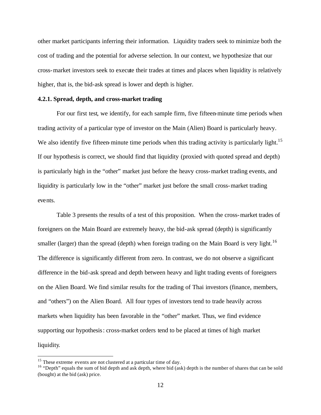other market participants inferring their information. Liquidity traders seek to minimize both the cost of trading and the potential for adverse selection. In our context, we hypothesize that our cross-market investors seek to execute their trades at times and places when liquidity is relatively higher, that is, the bid-ask spread is lower and depth is higher.

#### **4.2.1. Spread, depth, and cross-market trading**

For our first test, we identify, for each sample firm, five fifteen-minute time periods when trading activity of a particular type of investor on the Main (Alien) Board is particularly heavy. We also identify five fifteen-minute time periods when this trading activity is particularly light.<sup>15</sup> If our hypothesis is correct, we should find that liquidity (proxied with quoted spread and depth) is particularly high in the "other" market just before the heavy cross-market trading events, and liquidity is particularly low in the "other" market just before the small cross-market trading events.

Table 3 presents the results of a test of this proposition. When the cross-market trades of foreigners on the Main Board are extremely heavy, the bid-ask spread (depth) is significantly smaller (larger) than the spread (depth) when foreign trading on the Main Board is very light.<sup>16</sup> The difference is significantly different from zero. In contrast, we do not observe a significant difference in the bid-ask spread and depth between heavy and light trading events of foreigners on the Alien Board. We find similar results for the trading of Thai investors (finance, members, and "others") on the Alien Board. All four types of investors tend to trade heavily across markets when liquidity has been favorable in the "other" market. Thus, we find evidence supporting our hypothesis: cross-market orders tend to be placed at times of high market liquidity.

<sup>&</sup>lt;sup>15</sup> These extreme events are not clustered at a particular time of day.

<sup>&</sup>lt;sup>16</sup> "Depth" equals the sum of bid depth and ask depth, where bid (ask) depth is the number of shares that can be sold (bought) at the bid (ask) price.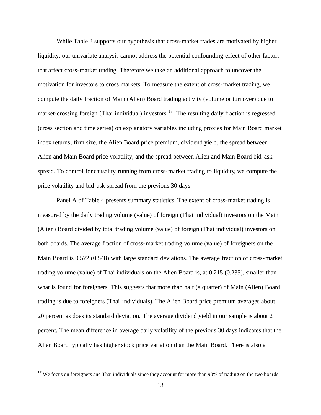While Table 3 supports our hypothesis that cross-market trades are motivated by higher liquidity, our univariate analysis cannot address the potential confounding effect of other factors that affect cross-market trading. Therefore we take an additional approach to uncover the motivation for investors to cross markets. To measure the extent of cross-market trading, we compute the daily fraction of Main (Alien) Board trading activity (volume or turnover) due to market-crossing foreign (Thai individual) investors.<sup>17</sup> The resulting daily fraction is regressed (cross section and time series) on explanatory variables including proxies for Main Board market index returns, firm size, the Alien Board price premium, dividend yield, the spread between Alien and Main Board price volatility, and the spread between Alien and Main Board bid-ask spread. To control for causality running from cross-market trading to liquidity, we compute the price volatility and bid-ask spread from the previous 30 days.

Panel A of Table 4 presents summary statistics. The extent of cross-market trading is measured by the daily trading volume (value) of foreign (Thai individual) investors on the Main (Alien) Board divided by total trading volume (value) of foreign (Thai individual) investors on both boards. The average fraction of cross-market trading volume (value) of foreigners on the Main Board is 0.572 (0.548) with large standard deviations. The average fraction of cross-market trading volume (value) of Thai individuals on the Alien Board is, at 0.215 (0.235), smaller than what is found for foreigners. This suggests that more than half (a quarter) of Main (Alien) Board trading is due to foreigners (Thai individuals). The Alien Board price premium averages about 20 percent as does its standard deviation. The average dividend yield in our sample is about 2 percent. The mean difference in average daily volatility of the previous 30 days indicates that the Alien Board typically has higher stock price variation than the Main Board. There is also a

<sup>&</sup>lt;sup>17</sup> We focus on foreigners and Thai individuals since they account for more than 90% of trading on the two boards.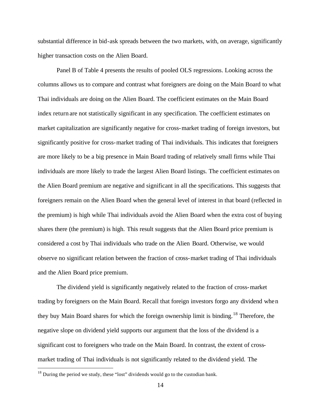substantial difference in bid-ask spreads between the two markets, with, on average, significantly higher transaction costs on the Alien Board.

Panel B of Table 4 presents the results of pooled OLS regressions. Looking across the columns allows us to compare and contrast what foreigners are doing on the Main Board to what Thai individuals are doing on the Alien Board. The coefficient estimates on the Main Board index return are not statistically significant in any specification. The coefficient estimates on market capitalization are significantly negative for cross-market trading of foreign investors, but significantly positive for cross-market trading of Thai individuals. This indicates that foreigners are more likely to be a big presence in Main Board trading of relatively small firms while Thai individuals are more likely to trade the largest Alien Board listings. The coefficient estimates on the Alien Board premium are negative and significant in all the specifications. This suggests that foreigners remain on the Alien Board when the general level of interest in that board (reflected in the premium) is high while Thai individuals avoid the Alien Board when the extra cost of buying shares there (the premium) is high. This result suggests that the Alien Board price premium is considered a cost by Thai individuals who trade on the Alien Board. Otherwise, we would observe no significant relation between the fraction of cross-market trading of Thai individuals and the Alien Board price premium.

The dividend yield is significantly negatively related to the fraction of cross-market trading by foreigners on the Main Board. Recall that foreign investors forgo any dividend when they buy Main Board shares for which the foreign ownership limit is binding.<sup>18</sup> Therefore, the negative slope on dividend yield supports our argument that the loss of the dividend is a significant cost to foreigners who trade on the Main Board. In contrast, the extent of crossmarket trading of Thai individuals is not significantly related to the dividend yield. The

 $18$  During the period we study, these "lost" dividends would go to the custodian bank.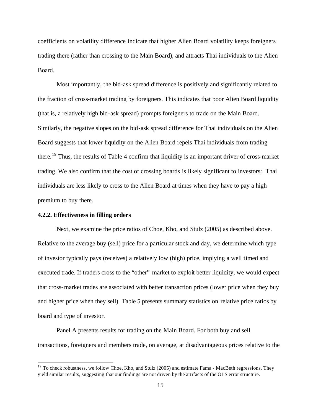coefficients on volatility difference indicate that higher Alien Board volatility keeps foreigners trading there (rather than crossing to the Main Board), and attracts Thai individuals to the Alien Board.

Most importantly, the bid-ask spread difference is positively and significantly related to the fraction of cross-market trading by foreigners. This indicates that poor Alien Board liquidity (that is, a relatively high bid-ask spread) prompts foreigners to trade on the Main Board. Similarly, the negative slopes on the bid-ask spread difference for Thai individuals on the Alien Board suggests that lower liquidity on the Alien Board repels Thai individuals from trading there.<sup>19</sup> Thus, the results of Table 4 confirm that liquidity is an important driver of cross-market trading. We also confirm that the cost of crossing boards is likely significant to investors: Thai individuals are less likely to cross to the Alien Board at times when they have to pay a high premium to buy there.

#### **4.2.2. Effectiveness in filling orders**

 $\overline{a}$ 

Next, we examine the price ratios of Choe, Kho, and Stulz (2005) as described above. Relative to the average buy (sell) price for a particular stock and day, we determine which type of investor typically pays (receives) a relatively low (high) price, implying a well timed and executed trade. If traders cross to the "other" market to exploit better liquidity, we would expect that cross-market trades are associated with better transaction prices (lower price when they buy and higher price when they sell). Table 5 presents summary statistics on relative price ratios by board and type of investor.

Panel A presents results for trading on the Main Board. For both buy and sell transactions, foreigners and members trade, on average, at disadvantageous prices relative to the

 $19$  To check robustness, we follow Choe, Kho, and Stulz (2005) and estimate Fama - MacBeth regressions. They yield similar results, suggesting that our findings are not driven by the artifacts of the OLS error structure.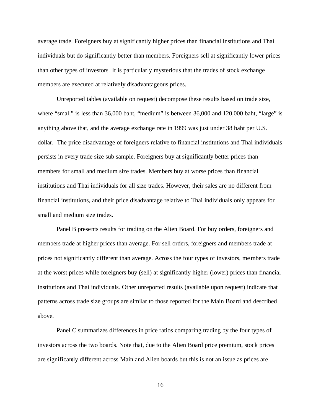average trade. Foreigners buy at significantly higher prices than financial institutions and Thai individuals but do significantly better than members. Foreigners sell at significantly lower prices than other types of investors. It is particularly mysterious that the trades of stock exchange members are executed at relatively disadvantageous prices.

Unreported tables (available on request) decompose these results based on trade size, where "small" is less than 36,000 baht, "medium" is between 36,000 and 120,000 baht, "large" is anything above that, and the average exchange rate in 1999 was just under 38 baht per U.S. dollar. The price disadvantage of foreigners relative to financial institutions and Thai individuals persists in every trade size sub sample. Foreigners buy at significantly better prices than members for small and medium size trades. Members buy at worse prices than financial institutions and Thai individuals for all size trades. However, their sales are no different from financial institutions, and their price disadvantage relative to Thai individuals only appears for small and medium size trades.

Panel B presents results for trading on the Alien Board. For buy orders, foreigners and members trade at higher prices than average. For sell orders, foreigners and members trade at prices not significantly different than average. Across the four types of investors, members trade at the worst prices while foreigners buy (sell) at significantly higher (lower) prices than financial institutions and Thai individuals. Other unreported results (available upon request) indicate that patterns across trade size groups are similar to those reported for the Main Board and described above.

Panel C summarizes differences in price ratios comparing trading by the four types of investors across the two boards. Note that, due to the Alien Board price premium, stock prices are significantly different across Main and Alien boards but this is not an issue as prices are

16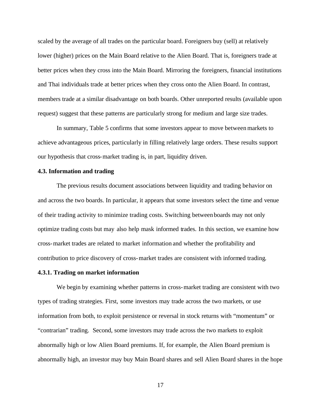scaled by the average of all trades on the particular board. Foreigners buy (sell) at relatively lower (higher) prices on the Main Board relative to the Alien Board. That is, foreigners trade at better prices when they cross into the Main Board. Mirroring the foreigners, financial institutions and Thai individuals trade at better prices when they cross onto the Alien Board. In contrast, members trade at a similar disadvantage on both boards. Other unreported results (available upon request) suggest that these patterns are particularly strong for medium and large size trades.

In summary, Table 5 confirms that some investors appear to move between markets to achieve advantageous prices, particularly in filling relatively large orders. These results support our hypothesis that cross-market trading is, in part, liquidity driven.

#### **4.3. Information and trading**

The previous results document associations between liquidity and trading behavior on and across the two boards. In particular, it appears that some investors select the time and venue of their trading activity to minimize trading costs. Switching between boards may not only optimize trading costs but may also help mask informed trades. In this section, we examine how cross-market trades are related to market information and whether the profitability and contribution to price discovery of cross-market trades are consistent with informed trading.

#### **4.3.1. Trading on market information**

We begin by examining whether patterns in cross-market trading are consistent with two types of trading strategies. First, some investors may trade across the two markets, or use information from both, to exploit persistence or reversal in stock returns with "momentum" or "contrarian" trading. Second, some investors may trade across the two markets to exploit abnormally high or low Alien Board premiums. If, for example, the Alien Board premium is abnormally high, an investor may buy Main Board shares and sell Alien Board shares in the hope

17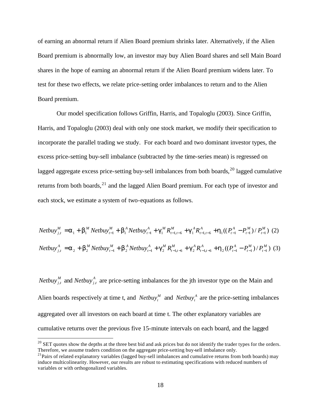of earning an abnormal return if Alien Board premium shrinks later. Alternatively, if the Alien Board premium is abnormally low, an investor may buy Alien Board shares and sell Main Board shares in the hope of earning an abnormal return if the Alien Board premium widens later. To test for these two effects, we relate price-setting order imbalances to return and to the Alien Board premium.

Our model specification follows Griffin, Harris, and Topaloglu (2003). Since Griffin, Harris, and Topaloglu (2003) deal with only one stock market, we modify their specification to incorporate the parallel trading we study. For each board and two dominant investor types, the excess price-setting buy-sell imbalance (subtracted by the time-series mean) is regressed on lagged aggregate excess price-setting buy-sell imbalances from both boards,<sup>20</sup> lagged cumulative returns from both boards,  $2<sup>1</sup>$  and the lagged Alien Board premium. For each type of investor and each stock, we estimate a system of two-equations as follows.

$$
Netbuy_{j,t}^{M} = \mathbf{a}_{1} + \mathbf{b}_{1}^{M} Netbuy_{t-1}^{M} + \mathbf{b}_{1}^{A} Netbuy_{t-1}^{A} + \mathbf{g}_{1}^{M} R_{t-1,t-6}^{M} + \mathbf{g}_{1}^{A} R_{t-1,t-6}^{A} + \mathbf{h}_{1} ((P_{t-1}^{A} - P_{t-1}^{M}) / P_{t-1}^{M})
$$
 (2)  
\n
$$
Netbuy_{j,t}^{A} = \mathbf{a}_{2} + \mathbf{b}_{2}^{M} Netbuy_{t-1}^{M} + \mathbf{b}_{2}^{A} Netbuy_{t-1}^{A} + \mathbf{g}_{2}^{M} R_{t-1,t-6}^{M} + \mathbf{g}_{2}^{A} R_{t-1,t-6}^{A} + \mathbf{h}_{2} ((P_{t-1}^{A} - P_{t-1}^{M}) / P_{t-1}^{M})
$$
 (3)

*Netbuy*<sup>*M*</sup><sub>*j,t*</sub> and *Netbuy*<sup>*A*</sup><sub>*j,t*</sub> are price-setting imbalances for the jth investor type on the Main and Alien boards respectively at time t, and *Netbuy<sub>t</sub>*<sup>*M*</sup> and *Netbuy<sub>t</sub><sup><i>A*</sup> are the price-setting imbalances aggregated over all investors on each board at time t. The other explanatory variables are cumulative returns over the previous five 15-minute intervals on each board, and the lagged

 $^{20}$  SET quotes show the depths at the three best bid and ask prices but do not identify the trader types for the orders. Therefore, we assume traders condition on the aggregate price-setting buy-sell imbalance only.

 $^{21}$ Pairs of related explanatory variables (lagged buy-sell imbalances and cumulative returns from both boards) may induce multicolinearity. However, our results are robust to estimating specifications with reduced numbers of variables or with orthogonalized variables.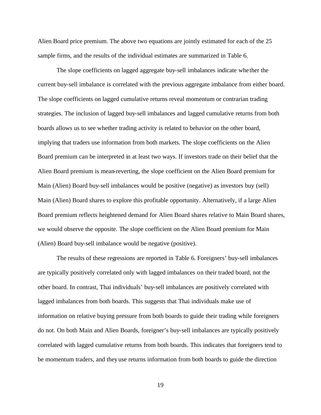Alien Board price premium. The above two equations are jointly estimated for each of the 25 sample firms, and the results of the individual estimates are summarized in Table 6.

The slope coefficients on lagged aggregate buy-sell imbalances indicate whe ther the current buy-sell imbalance is correlated with the previous aggregate imbalance from either board. The slope coefficients on lagged cumulative returns reveal momentum or contrarian trading strategies. The inclusion of lagged buy-sell imbalances and lagged cumulative returns from both boards allows us to see whether trading activity is related to behavior on the other board, implying that traders use information from both markets. The slope coefficients on the Alien Board premium can be interpreted in at least two ways. If investors trade on their belief that the Alien Board premium is mean-reverting, the slope coefficient on the Alien Board premium for Main (Alien) Board buy-sell imbalances would be positive (negative) as investors buy (sell) Main (Alien) Board shares to explore this profitable opportunity. Alternatively, if a large Alien Board premium reflects heightened demand for Alien Board shares relative to Main Board shares, we would observe the opposite. The slope coefficient on the Alien Board premium for Main (Alien) Board buy-sell imbalance would be negative (positive).

The results of these regressions are reported in Table 6. Foreigners' buy-sell imbalances are typically positively correlated only with lagged imbalances on their traded board, not the other board. In contrast, Thai individuals' buy-sell imbalances are positively correlated with lagged imbalances from both boards. This suggests that Thai individuals make use of information on relative buying pressure from both boards to guide their trading while foreigners do not. On both Main and Alien Boards, foreigner's buy-sell imbalances are typically positively correlated with lagged cumulative returns from both boards. This indicates that foreigners tend to be momentum traders, and they use returns information from both boards to guide the direction

19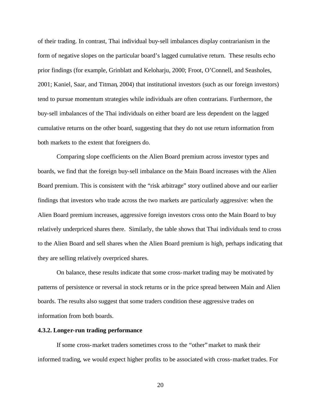of their trading. In contrast, Thai individual buy-sell imbalances display contrarianism in the form of negative slopes on the particular board's lagged cumulative return. These results echo prior findings (for example, Grinblatt and Keloharju, 2000; Froot, O'Connell, and Seasholes, 2001; Kaniel, Saar, and Titman, 2004) that institutional investors (such as our foreign investors) tend to pursue momentum strategies while individuals are often contrarians. Furthermore, the buy-sell imbalances of the Thai individuals on either board are less dependent on the lagged cumulative returns on the other board, suggesting that they do not use return information from both markets to the extent that foreigners do.

Comparing slope coefficients on the Alien Board premium across investor types and boards, we find that the foreign buy-sell imbalance on the Main Board increases with the Alien Board premium. This is consistent with the "risk arbitrage" story outlined above and our earlier findings that investors who trade across the two markets are particularly aggressive: when the Alien Board premium increases, aggressive foreign investors cross onto the Main Board to buy relatively underpriced shares there. Similarly, the table shows that Thai individuals tend to cross to the Alien Board and sell shares when the Alien Board premium is high, perhaps indicating that they are selling relatively overpriced shares.

On balance, these results indicate that some cross-market trading may be motivated by patterns of persistence or reversal in stock returns or in the price spread between Main and Alien boards. The results also suggest that some traders condition these aggressive trades on information from both boards.

#### **4.3.2. Longer-run trading performance**

If some cross-market traders sometimes cross to the "other" market to mask their informed trading, we would expect higher profits to be associated with cross-market trades. For

20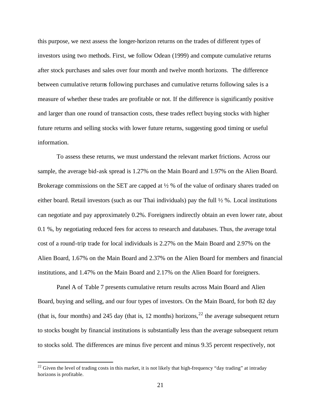this purpose, we next assess the longer-horizon returns on the trades of different types of investors using two methods. First, we follow Odean (1999) and compute cumulative returns after stock purchases and sales over four month and twelve month horizons. The difference between cumulative returns following purchases and cumulative returns following sales is a measure of whether these trades are profitable or not. If the difference is significantly positive and larger than one round of transaction costs, these trades reflect buying stocks with higher future returns and selling stocks with lower future returns, suggesting good timing or useful information.

To assess these returns, we must understand the relevant market frictions. Across our sample, the average bid-ask spread is 1.27% on the Main Board and 1.97% on the Alien Board. Brokerage commissions on the SET are capped at  $\frac{1}{2}$  % of the value of ordinary shares traded on either board. Retail investors (such as our Thai individuals) pay the full  $\frac{1}{2}$ %. Local institutions can negotiate and pay approximately 0.2%. Foreigners indirectly obtain an even lower rate, about 0.1 %, by negotiating reduced fees for access to research and databases. Thus, the average total cost of a round-trip trade for local individuals is 2.27% on the Main Board and 2.97% on the Alien Board, 1.67% on the Main Board and 2.37% on the Alien Board for members and financial institutions, and 1.47% on the Main Board and 2.17% on the Alien Board for foreigners.

Panel A of Table 7 presents cumulative return results across Main Board and Alien Board, buying and selling, and our four types of investors. On the Main Board, for both 82 day (that is, four months) and 245 day (that is, 12 months) horizons,  $^{22}$  the average subsequent return to stocks bought by financial institutions is substantially less than the average subsequent return to stocks sold. The differences are minus five percent and minus 9.35 percent respectively, not

 $22$  Given the level of trading costs in this market, it is not likely that high-frequency "day trading" at intraday horizons is profitable.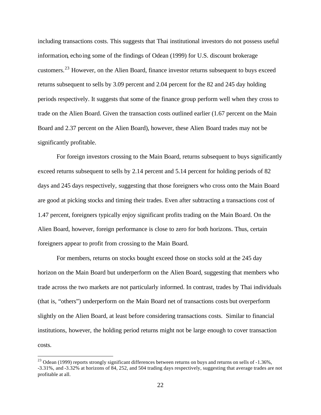including transactions costs. This suggests that Thai institutional investors do not possess useful information, echoing some of the findings of Odean (1999) for U.S. discount brokerage customers.<sup>23</sup> However, on the Alien Board, finance investor returns subsequent to buys exceed returns subsequent to sells by 3.09 percent and 2.04 percent for the 82 and 245 day holding periods respectively. It suggests that some of the finance group perform well when they cross to trade on the Alien Board. Given the transaction costs outlined earlier (1.67 percent on the Main Board and 2.37 percent on the Alien Board), however, these Alien Board trades may not be significantly profitable.

For foreign investors crossing to the Main Board, returns subsequent to buys significantly exceed returns subsequent to sells by 2.14 percent and 5.14 percent for holding periods of 82 days and 245 days respectively, suggesting that those foreigners who cross onto the Main Board are good at picking stocks and timing their trades. Even after subtracting a transactions cost of 1.47 percent, foreigners typically enjoy significant profits trading on the Main Board. On the Alien Board, however, foreign performance is close to zero for both horizons. Thus, certain foreigners appear to profit from crossing to the Main Board.

For members, returns on stocks bought exceed those on stocks sold at the 245 day horizon on the Main Board but underperform on the Alien Board, suggesting that members who trade across the two markets are not particularly informed. In contrast, trades by Thai individuals (that is, "others") underperform on the Main Board net of transactions costs but overperform slightly on the Alien Board, at least before considering transactions costs. Similar to financial institutions, however, the holding period returns might not be large enough to cover transaction costs.

<sup>&</sup>lt;sup>23</sup> Odean (1999) reports strongly significant differences between returns on buys and returns on sells of  $-1.36\%$ , -3.31%, and -3.32% at horizons of 84, 252, and 504 trading days respectively, suggesting that average trades are not profitable at all.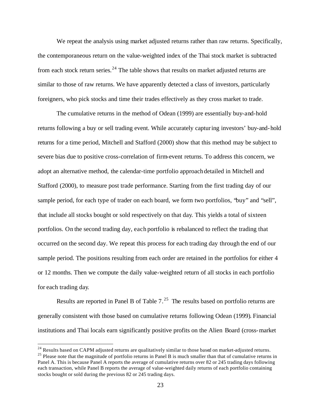We repeat the analysis using market adjusted returns rather than raw returns. Specifically, the contemporaneous return on the value-weighted index of the Thai stock market is subtracted from each stock return series.<sup>24</sup> The table shows that results on market adjusted returns are similar to those of raw returns. We have apparently detected a class of investors, particularly foreigners, who pick stocks and time their trades effectively as they cross market to trade.

The cumulative returns in the method of Odean (1999) are essentially buy-and-hold returns following a buy or sell trading event. While accurately capturing investors' buy-and-hold returns for a time period, Mitchell and Stafford (2000) show that this method may be subject to severe bias due to positive cross-correlation of firm-event returns. To address this concern, we adopt an alternative method, the calendar-time portfolio approach detailed in Mitchell and Stafford (2000), to measure post trade performance. Starting from the first trading day of our sample period, for each type of trader on each board, we form two portfolios, "buy" and "sell", that include all stocks bought or sold respectively on that day. This yields a total of sixteen portfolios. On the second trading day, each portfolio is rebalanced to reflect the trading that occurred on the second day. We repeat this process for each trading day through the end of our sample period. The positions resulting from each order are retained in the portfolios for either 4 or 12 months. Then we compute the daily value-weighted return of all stocks in each portfolio for each trading day.

Results are reported in Panel B of Table  $7.^{25}$  The results based on portfolio returns are generally consistent with those based on cumulative returns following Odean (1999). Financial institutions and Thai locals earn significantly positive profits on the Alien Board (cross-market

 $^{24}$  Results based on CAPM adjusted returns are qualitatively similar to those based on market-adjusted returns.  $25$  Please note that the magnitude of portfolio returns in Panel B is much smaller than that of cumulative returns in Panel A. This is because Panel A reports the average of cumulative returns over 82 or 245 trading days following each transaction, while Panel B reports the average of value-weighted daily returns of each portfolio containing stocks bought or sold during the previous 82 or 245 trading days.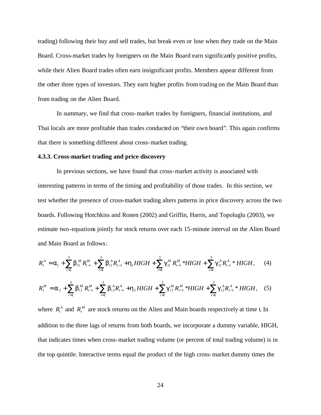trading) following their buy and sell trades, but break even or lose when they trade on the Main Board. Cross-market trades by foreigners on the Main Board earn significantly positive profits, while their Alien Board trades often earn insignificant profits. Members appear different from the other three types of investors. They earn higher profits from trading on the Main Board than from trading on the Alien Board.

In summary, we find that cross-market trades by foreigners, financial institutions, and Thai locals are more profitable than trades conducted on "their own board". This again confirms that there is something different about cross-market trading.

#### **4.3.3. Cross-market trading and price discovery**

In previous sections, we have found that cross-market activity is associated with interesting patterns in terms of the timing and profitability of those trades. In this section, we test whether the presence of cross-market trading alters patterns in price discovery across the two boards. Following Hotchkiss and Ronen (2002) and Griffin, Harris, and Topoluglu (2003), we estimate two-equations jointly for stock returns over each 15-minute interval on the Alien Board and Main Board as follows:

$$
R_t^A = \mathbf{a}_1 + \sum_{i=1}^3 \mathbf{b}_{i1}^M R_{t-i}^M + \sum_{i=1}^3 \mathbf{b}_{i1}^A R_{t-i}^A + \mathbf{h}_1 H I G H + \sum_{i=1}^3 \mathbf{g}_{i1}^M R_{t-i}^M * H I G H + \sum_{i=1}^3 \mathbf{g}_{i1}^A R_{t-i}^A * H I G H, \qquad (4)
$$

$$
R_t^M = \mathbf{a}_2 + \sum_{i=1}^3 \mathbf{b}_{i2}^M R_{t-i}^M + \sum_{i=1}^3 \mathbf{b}_{i2}^A R_{t-i}^A + \mathbf{h}_2 H I G H + \sum_{i=1}^3 \mathbf{g}_{i2}^M R_{t-i}^M * H I G H + \sum_{i=1}^3 \mathbf{g}_{i2}^A R_{t-i}^A * H I G H, \quad (5)
$$

where  $R_t^A$  and  $R_t^M$  are stock returns on the Alien and Main boards respectively at time t. In addition to the three lags of returns from both boards, we incorporate a dummy variable, HIGH, that indicates times when cross-market trading volume (or percent of total trading volume) is in the top quintile. Interactive terms equal the product of the high cross-market dummy times the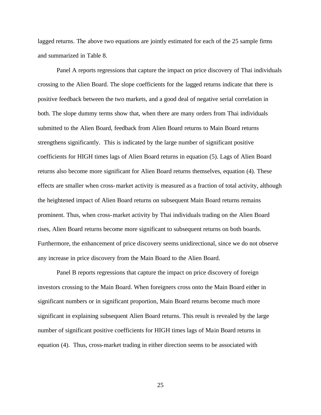lagged returns. The above two equations are jointly estimated for each of the 25 sample firms and summarized in Table 8.

Panel A reports regressions that capture the impact on price discovery of Thai individuals crossing to the Alien Board. The slope coefficients for the lagged returns indicate that there is positive feedback between the two markets, and a good deal of negative serial correlation in both. The slope dummy terms show that, when there are many orders from Thai individuals submitted to the Alien Board, feedback from Alien Board returns to Main Board returns strengthens significantly. This is indicated by the large number of significant positive coefficients for HIGH times lags of Alien Board returns in equation (5). Lags of Alien Board returns also become more significant for Alien Board returns themselves, equation (4). These effects are smaller when cross-market activity is measured as a fraction of total activity, although the heightened impact of Alien Board returns on subsequent Main Board returns remains prominent. Thus, when cross-market activity by Thai individuals trading on the Alien Board rises, Alien Board returns become more significant to subsequent returns on both boards. Furthermore, the enhancement of price discovery seems unidirectional, since we do not observe any increase in price discovery from the Main Board to the Alien Board.

Panel B reports regressions that capture the impact on price discovery of foreign investors crossing to the Main Board. When foreigners cross onto the Main Board either in significant numbers or in significant proportion, Main Board returns become much more significant in explaining subsequent Alien Board returns. This result is revealed by the large number of significant positive coefficients for HIGH times lags of Main Board returns in equation (4). Thus, cross-market trading in either direction seems to be associated with

25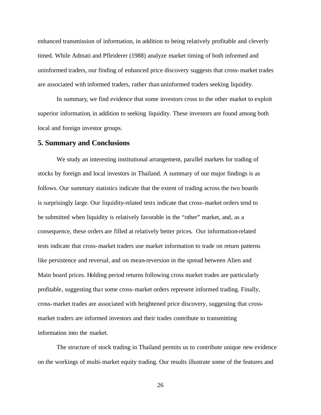enhanced transmission of information, in addition to being relatively profitable and cleverly timed. While Admati and Pfleiderer (1988) analyze market timing of both informed and uninformed traders, our finding of enhanced price discovery suggests that cross-market trades are associated with informed traders, rather than uninformed traders seeking liquidity.

In summary, we find evidence that some investors cross to the other market to exploit superior information, in addition to seeking liquidity. These investors are found among both local and foreign investor groups.

#### **5. Summary and Conclusions**

We study an interesting institutional arrangement, parallel markets for trading of stocks by foreign and local investors in Thailand. A summary of our major findings is as follows. Our summary statistics indicate that the extent of trading across the two boards is surprisingly large. Our liquidity-related tests indicate that cross-market orders tend to be submitted when liquidity is relatively favorable in the "other" market, and, as a consequence, these orders are filled at relatively better prices. Our information-related tests indicate that cross-market traders use market information to trade on return patterns like persistence and reversal, and on mean-reversion in the spread between Alien and Main board prices. Holding period returns following cross market trades are particularly profitable, suggesting tha t some cross-market orders represent informed trading. Finally, cross-market trades are associated with heightened price discovery, suggesting that crossmarket traders are informed investors and their trades contribute to transmitting information into the market.

The structure of stock trading in Thailand permits us to contribute unique new evidence on the workings of multi-market equity trading. Our results illustrate some of the features and

26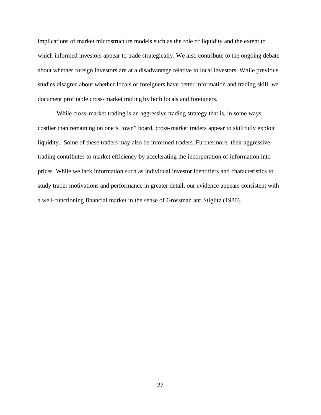implications of market microstructure models such as the role of liquidity and the extent to which informed investors appear to trade strategically. We also contribute to the ongoing debate about whether foreign investors are at a disadvantage relative to local investors. While previous studies disagree about whether locals or foreigners have better information and trading skill, we document profitable cross-market trading by both locals and foreigners.

While cross-market trading is an aggressive trading strategy that is, in some ways, costlier than remaining on one's "own" board, cross-market traders appear to skillfully exploit liquidity. Some of these traders may also be informed traders. Furthermore, their aggressive trading contributes to market efficiency by accelerating the incorporation of information into prices. While we lack information such as individual investor identifiers and characteristics to study trader motivations and performance in greater detail, our evidence appears consistent with a well-functioning financial market in the sense of Grossman and Stiglitz (1980).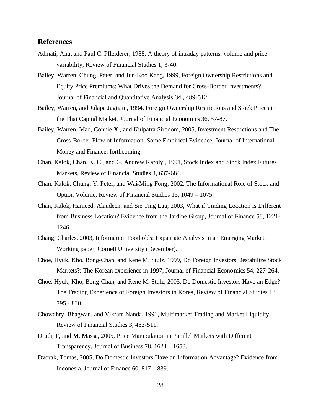### **References**

- Admati, Anat and Paul C. Pfleiderer, 1988**,** A theory of intraday patterns: volume and price variability, Review of Financial Studies 1, 3-40.
- Bailey, Warren, Chung, Peter, and Jun-Koo Kang, 1999, Foreign Ownership Restrictions and Equity Price Premiums: What Drives the Demand for Cross-Border Investments?, Journal of Financial and Quantitative Analysis 34 , 489-512.
- Bailey, Warren, and Julapa Jagtiani, 1994, Foreign Ownership Restrictions and Stock Prices in the Thai Capital Market, Journal of Financial Economics 36, 57-87.
- Bailey, Warren, Mao, Connie X., and Kulpatra Sirodom, 2005, Investment Restrictions and The Cross-Border Flow of Information: Some Empirical Evidence, Journal of International Money and Finance, forthcoming.
- Chan, Kalok, Chan, K. C., and G. Andrew Karolyi, 1991, Stock Index and Stock Index Futures Markets, Review of Financial Studies 4, 637-684.
- Chan, Kalok, Chung, Y. Peter, and Wai-Ming Fong, 2002, The Informational Role of Stock and Option Volume, Review of Financial Studies 15, 1049 – 1075.
- Chan, Kalok, Hameed, Alaudeen, and Sie Ting Lau, 2003, What if Trading Location is Different from Business Location? Evidence from the Jardine Group, Journal of Finance 58, 1221- 1246.
- Chang, Charles, 2003, Information Footholds: Expatriate Analysts in an Emerging Market. Working paper, Cornell University (December).
- Choe, Hyuk, Kho, Bong-Chan, and Rene M. Stulz, 1999, Do Foreign Investors Destabilize Stock Markets?: The Korean experience in 1997, Journal of Financial Economics 54, 227-264.
- Choe, Hyuk, Kho, Bong-Chan, and Rene M. Stulz, 2005, Do Domestic Investors Have an Edge? The Trading Experience of Foreign Investors in Korea, Review of Financial Studies 18, 795 - 830.
- Chowdhry, Bhagwan, and Vikram Nanda, 1991, Multimarket Trading and Market Liquidity, Review of Financial Studies 3, 483-511.
- Drudi, F, and M. Massa, 2005, Price Manipulation in Parallel Markets with Different Transparency, Journal of Business 78, 1624 – 1658.
- Dvorak, Tomas, 2005, Do Domestic Investors Have an Information Advantage? Evidence from Indonesia, Journal of Finance 60, 817 – 839.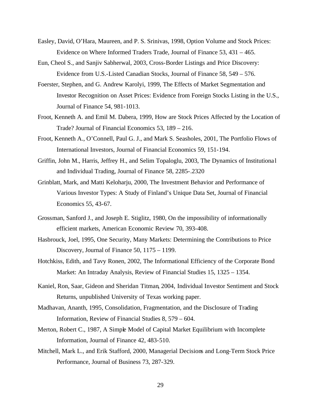- Easley, David, O'Hara, Maureen, and P. S. Srinivas, 1998, Option Volume and Stock Prices: Evidence on Where Informed Traders Trade, Journal of Finance 53, 431 – 465.
- Eun, Cheol S., and Sanjiv Sabherwal, 2003, Cross-Border Listings and Price Discovery: Evidence from U.S.-Listed Canadian Stocks, Journal of Finance 58, 549 – 576.
- Foerster, Stephen, and G. Andrew Karolyi, 1999, The Effects of Market Segmentation and Investor Recognition on Asset Prices: Evidence from Foreign Stocks Listing in the U.S., Journal of Finance 54, 981-1013.
- Froot, Kenneth A. and Emil M. Dabera, 1999, How are Stock Prices Affected by the Location of Trade? Journal of Financial Economics 53, 189 – 216.
- Froot, Kenneth A., O'Connell, Paul G. J., and Mark S. Seasholes, 2001, The Portfolio Flows of International Investors, Journal of Financial Economics 59, 151-194.
- Griffin, John M., Harris, Jeffrey H., and Selim Topaloglu, 2003, The Dynamics of Institutiona l and Individual Trading, Journal of Finance 58, 2285-.2320
- Grinblatt, Mark, and Matti Keloharju, 2000, The Investment Behavior and Performance of Various Investor Types: A Study of Finland's Unique Data Set, Journal of Financial Economics 55, 43-67.
- Grossman, Sanford J., and Joseph E. Stiglitz, 1980, On the impossibility of informationally efficient markets, American Economic Review 70, 393-408.
- Hasbrouck, Joel, 1995, One Security, Many Markets: Determining the Contributions to Price Discovery, Journal of Finance 50, 1175 – 1199.
- Hotchkiss, Edith, and Tavy Ronen, 2002, The Informational Efficiency of the Corporate Bond Market: An Intraday Analysis, Review of Financial Studies 15, 1325 – 1354.
- Kaniel, Ron, Saar, Gideon and Sheridan Titman, 2004, Individual Investor Sentiment and Stock Returns, unpublished University of Texas working paper.
- Madhavan, Ananth, 1995, Consolidation, Fragmentation, and the Disclosure of Trading Information, Review of Financial Studies 8, 579 – 604.
- Merton, Robert C., 1987, A Simple Model of Capital Market Equilibrium with Incomplete Information, Journal of Finance 42, 483-510.
- Mitchell, Mark L., and Erik Stafford, 2000, Managerial Decisions and Long-Term Stock Price Performance, Journal of Business 73, 287-329.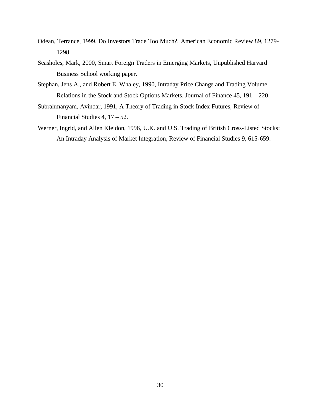- Odean, Terrance, 1999, Do Investors Trade Too Much?, American Economic Review 89, 1279- 1298.
- Seasholes, Mark, 2000, Smart Foreign Traders in Emerging Markets, Unpublished Harvard Business School working paper.
- Stephan, Jens A., and Robert E. Whaley, 1990, Intraday Price Change and Trading Volume Relations in the Stock and Stock Options Markets, Journal of Finance 45, 191 – 220.
- Subrahmanyam, Avindar, 1991, A Theory of Trading in Stock Index Futures, Review of Financial Studies 4, 17 – 52.
- Werner, Ingrid, and Allen Kleidon, 1996, U.K. and U.S. Trading of British Cross-Listed Stocks: An Intraday Analysis of Market Integration, Review of Financial Studies 9, 615-659.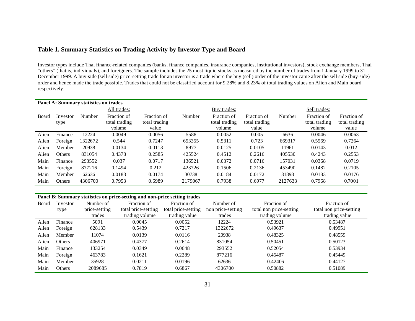### **Table 1. Summary Statistics on Trading Activity by Investor Type and Board**

Investor types include Thai finance-related companies (banks, finance companies, insurance companies, institutional investors), stock exchange members, Thai "others" (that is, individuals), and foreigners. The sample includes the 25 most liquid stocks as measured by the number of trades from 1 January 1999 to 31 December 1999. A buy-side (sell-side) price-setting trade for an investor is a trade where the buy (sell) order of the investor came after the sell-side (buy-side) order and hence made the trade possible. Trades that could not be classified account for 9.28% and 8.23% of total trading values on Alien and Main board respectively.

|       |                  | Panel A: Summary statistics on trades |                                        |                                       |         |                                        |                                       |         |                                        |                                       |
|-------|------------------|---------------------------------------|----------------------------------------|---------------------------------------|---------|----------------------------------------|---------------------------------------|---------|----------------------------------------|---------------------------------------|
|       |                  |                                       | All trades:                            |                                       |         | Buy trades:                            |                                       |         | Sell trades:                           |                                       |
| Board | Investor<br>type | Number                                | Fraction of<br>total trading<br>volume | Fraction of<br>total trading<br>value | Number  | Fraction of<br>total trading<br>volume | Fraction of<br>total trading<br>value | Number  | Fraction of<br>total trading<br>volume | Fraction of<br>total trading<br>value |
| Alien | Finance          | 12224                                 | 0.0049                                 | 0.0056                                | 5588    | 0.0052                                 | 0.005                                 | 6636    | 0.0046                                 | 0.0063                                |
| Alien | Foreign          | 1322672                               | 0.544                                  | 0.7247                                | 653355  | 0.5311                                 | 0.723                                 | 669317  | 0.5569                                 | 0.7264                                |
| Alien | Member           | 20938                                 | 0.0134                                 | 0.0113                                | 8977    | 0.0125                                 | 0.0105                                | 11961   | 0.0143                                 | 0.012                                 |
| Alien | Others           | 831054                                | 0.4378                                 | 0.2585                                | 425524  | 0.4512                                 | 0.2616                                | 405530  | 0.4243                                 | 0.2553                                |
| Main  | Finance          | 293552                                | 0.037                                  | 0.0717                                | 136521  | 0.0372                                 | 0.0716                                | 157031  | 0.0368                                 | 0.0719                                |
| Main  | Foreign          | 877216                                | 0.1494                                 | 0.212                                 | 423726  | 0.1506                                 | 0.2136                                | 453490  | 0.1482                                 | 0.2105                                |
| Main  | Member           | 62636                                 | 0.0183                                 | 0.0174                                | 30738   | 0.0184                                 | 0.0172                                | 31898   | 0.0183                                 | 0.0176                                |
| Main  | Others           | 4306700                               | 0.7953                                 | 0.6989                                | 2179067 | 0.7938                                 | 0.6977                                | 2127633 | 0.7968                                 | 0.7001                                |

#### **Panel B: Summary statistics on price-setting and non-price setting trades**

| Board | Investor<br>type | Number of<br>price-setting | Fraction of<br>total price-setting | Fraction of<br>total price-setting | Number of<br>non price-setting | Fraction of<br>total non price-setting | Fraction of<br>total non price-setting |
|-------|------------------|----------------------------|------------------------------------|------------------------------------|--------------------------------|----------------------------------------|----------------------------------------|
|       |                  | trades                     | trading volume                     | trading value                      | trades                         | trading volume                         | trading value                          |
| Alien | Finance          | 5091                       | 0.0045                             | 0.0052                             | 12224                          | 0.53921                                | 0.53487                                |
| Alien | Foreign          | 628133                     | 0.5439                             | 0.7217                             | 1322672                        | 0.49637                                | 0.49951                                |
| Alien | Member           | 11074                      | 0.0139                             | 0.0116                             | 20938                          | 0.48325                                | 0.48559                                |
| Alien | <b>Others</b>    | 406971                     | 0.4377                             | 0.2614                             | 831054                         | 0.50451                                | 0.50123                                |
| Main  | Finance          | 33254                      | 0.0349                             | 0.0648                             | 293552                         | 0.52054                                | 0.53934                                |
| Main  | Foreign          | 463783                     | 0.1621                             | 0.2289                             | 877216                         | 0.45487                                | 0.45449                                |
| Main  | Member           | 35928                      | 0.0211                             | 0.0196                             | 62636                          | 0.42406                                | 0.44127                                |
| Main  | Others           | 2089685                    | 0.7819                             | 0.6867                             | 4306700                        | 0.50882                                | 0.51089                                |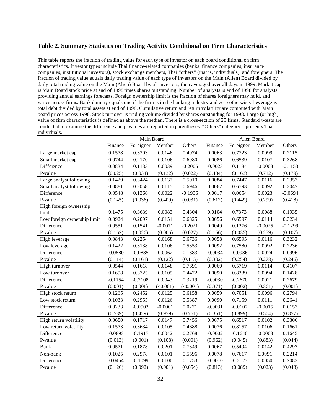#### **Table 2. Summary Statistics on Trading Activity Conditional on Firm Characteristics**

This table reports the fraction of trading value for each type of investor on each board conditional on firm characteristics. Investor types include Thai finance-related companies (banks, finance companies, insurance companies, institutional investors), stock exchange members, Thai "others" (that is, individuals), and foreigners. The fraction of trading value equals daily trading value of each type of investors on the Main (Alien) Board divided by daily total trading value on the Main (Alien) Board by all investors, then averaged over all days in 1999. Market cap is Main Board stock price at end of 1998 times shares outstanding. Number of analysts is end of 1998 for analysts providing annual earnings forecasts. Foreign ownership limit is the fraction of shares foreigners may hold, and varies across firms. Bank dummy equals one if the firm is in the banking industry and zero otherwise. Leverage is total debt divided by total assets at end of 1998. Cumulative return and return volatility are computed with Main board prices across 1998. Stock turnover is trading volume divided by shares outstanding for 1998. Large (or high) value of firm characteristics is defined as above the median. There is a cross-section of 25 firms. Standard t-tests are conducted to examine the difference and p-values are reported in parentheses. "Others" category represents Thai individuals.

|                             |           | Main Board |           |           |           | Alien Board |           |           |
|-----------------------------|-----------|------------|-----------|-----------|-----------|-------------|-----------|-----------|
|                             | Finance   | Foreigner  | Member    | Others    | Finance   | Foreigner   | Member    | Others    |
| Large market cap            | 0.1578    | 0.3303     | 0.0146    | 0.4974    | 0.0063    | 0.7723      | 0.0099    | 0.2115    |
| Small market cap            | 0.0744    | 0.2170     | 0.0106    | 0.6980    | 0.0086    | 0.6539      | 0.0107    | 0.3268    |
| Difference                  | 0.0834    | 0.1133     | 0.0039    | $-0.2006$ | $-0.0023$ | 0.1184      | $-0.0008$ | $-0.1153$ |
| P-value                     | (0.025)   | (0.034)    | (0.132)   | (0.022)   | (0.484)   | (0.163)     | (0.712)   | (0.179)   |
| Large analyst following     | 0.1429    | 0.3424     | 0.0137    | 0.5010    | 0.0084    | 0.7447      | 0.0116    | 0.2353    |
| Small analyst following     | 0.0881    | 0.2058     | 0.0115    | 0.6946    | 0.0067    | 0.6793      | 0.0092    | 0.3047    |
| Difference                  | 0.0548    | 0.1366     | 0.0022    | $-0.1936$ | 0.0017    | 0.0654      | 0.0023    | $-0.0694$ |
| P-value                     | (0.145)   | (0.036)    | (0.409)   | (0.031)   | (0.612)   | (0.449)     | (0.299)   | (0.418)   |
| High foreign ownership      |           |            |           |           |           |             |           |           |
| limit                       | 0.1475    | 0.3639     | 0.0083    | 0.4804    | 0.0104    | 0.7873      | 0.0088    | 0.1935    |
| Low foreign ownership limit | 0.0924    | 0.2097     | 0.0154    | 0.6825    | 0.0056    | 0.6597      | 0.0114    | 0.3234    |
| Difference                  | 0.0551    | 0.1541     | $-0.0071$ | $-0.2021$ | 0.0049    | 0.1276      | $-0.0025$ | $-0.1299$ |
| P-value                     | (0.162)   | (0.026)    | (0.006)   | (0.027)   | (0.156)   | (0.035)     | (0.259)   | (0.107)   |
| High leverage               | 0.0843    | 0.2254     | 0.0168    | 0.6736    | 0.0058    | 0.6595      | 0.0116    | 0.3232    |
| Low leverage                | 0.1422    | 0.3138     | 0.0106    | 0.5353    | 0.0092    | 0.7580      | 0.0092    | 0.2236    |
| Difference                  | $-0.0580$ | $-0.0885$  | 0.0062    | 0.1383    | $-0.0034$ | $-0.0986$   | 0.0024    | 0.0996    |
| P-value                     | (0.114)   | (0.161)    | (0.122)   | (0.115)   | (0.302)   | (0.254)     | (0.278)   | (0.246)   |
| High turnover               | 0.0544    | 0.1618     | 0.0148    | 0.7691    | 0.0060    | 0.5719      | 0.0114    | 0.4107    |
| Low turnover                | 0.1698    | 0.3725     | 0.0105    | 0.4472    | 0.0090    | 0.8389      | 0.0094    | 0.1428    |
| Difference                  | $-0.1154$ | $-0.2108$  | 0.0043    | 0.3219    | $-0.0030$ | $-0.2670$   | 0.0021    | 0.2679    |
| P-value                     | (0.001)   | (0.001)    | (<0.001)  | (<0.001)  | (0.371)   | (0.002)     | (0.361)   | (0.001)   |
| High stock return           | 0.1265    | 0.2452     | 0.0125    | 0.6158    | 0.0059    | 0.7051      | 0.0096    | 0.2794    |
| Low stock return            | 0.1033    | 0.2955     | 0.0126    | 0.5887    | 0.0090    | 0.7159      | 0.0111    | 0.2641    |
| Difference                  | 0.0233    | $-0.0503$  | $-0.0001$ | 0.0271    | $-0.0031$ | $-0.0107$   | $-0.0015$ | 0.0153    |
| P-value                     | (0.539)   | (0.429)    | (0.979)   | (0.761)   | (0.351)   | (0.899)     | (0.504)   | (0.857)   |
| High return volatility      | 0.0680    | 0.1717     | 0.0147    | 0.7456    | 0.0075    | 0.6517      | 0.0102    | 0.3306    |
| Low return volatility       | 0.1573    | 0.3634     | 0.0105    | 0.4688    | 0.0076    | 0.8157      | 0.0106    | 0.1661    |
| Difference                  | $-0.0893$ | $-0.1917$  | 0.0042    | 0.2768    | $-0.0002$ | $-0.1640$   | $-0.0003$ | 0.1645    |
| P-value                     | (0.013)   | (0.001)    | (0.108)   | (0.001)   | (0.962)   | (0.045)     | (0.883)   | (0.044)   |
| <b>Bank</b>                 | 0.0571    | 0.1878     | 0.0201    | 0.7349    | 0.0067    | 0.5494      | 0.0142    | 0.4297    |
| Non-bank                    | 0.1025    | 0.2978     | 0.0101    | 0.5596    | 0.0078    | 0.7617      | 0.0091    | 0.2214    |
| Difference                  | $-0.0454$ | $-0.1099$  | 0.0100    | 0.1753    | $-0.0010$ | $-0.2123$   | 0.0050    | 0.2083    |
| P-value                     | (0.126)   | (0.092)    | (0.001)   | (0.054)   | (0.813)   | (0.089)     | (0.023)   | (0.043)   |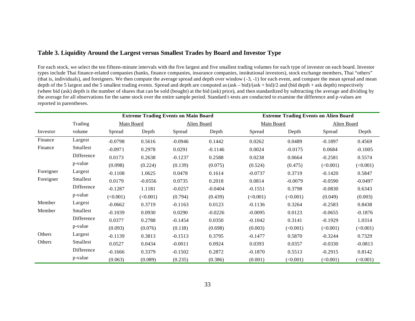### **Table 3. Liquidity Around the Largest versus Smallest Trades by Board and Investor Type**

For each stock, we select the ten fifteen-minute intervals with the five largest and five smallest trading volumes for each type of investor on each board. Investor types include Thai finance-related companies (banks, finance companies, insurance companies, institutional investors), stock exchange members, Thai "others" (that is, individuals), and foreigners. We then compute the average spread and depth over window (-3, -1) for each event, and compare the mean spread and mean depth of the 5 largest and the 5 smallest trading events. Spread and depth are computed as (ask – bid)/(ask + bid)/2 and (bid depth + ask depth) respectively (where bid (ask) depth is the number of shares that can be sold (bought) at the bid (ask) price), and then standardized by subtracting the average and dividing by the average for all observations for the same stock over the entire sample period. Standard t-tests are conducted to examine the difference and p-values are reported in parentheses.

|           |            |            |           | <b>Extreme Trading Events on Main Board</b> |             | <b>Extreme Trading Events on Alien Board</b> |           |             |           |  |  |
|-----------|------------|------------|-----------|---------------------------------------------|-------------|----------------------------------------------|-----------|-------------|-----------|--|--|
|           | Trading    | Main Board |           |                                             | Alien Board | Main Board                                   |           | Alien Board |           |  |  |
| Investor  | volume     | Spread     | Depth     | Spread                                      | Depth       | Spread                                       | Depth     | Spread      | Depth     |  |  |
| Finance   | Largest    | $-0.0798$  | 0.5616    | $-0.0946$                                   | 0.1442      | 0.0262                                       | 0.0489    | $-0.1897$   | 0.4569    |  |  |
| Finance   | Smallest   | $-0.0971$  | 0.2978    | 0.0291                                      | $-0.1146$   | 0.0024                                       | $-0.0175$ | 0.0684      | $-0.1005$ |  |  |
|           | Difference | 0.0173     | 0.2638    | $-0.1237$                                   | 0.2588      | 0.0238                                       | 0.0664    | $-0.2581$   | 0.5574    |  |  |
|           | p-value    | (0.098)    | (0.224)   | (0.139)                                     | (0.075)     | (0.524)                                      | (0.475)   | (<0.001)    | (<0.001)  |  |  |
| Foreigner | Largest    | $-0.1108$  | 1.0625    | 0.0478                                      | 0.1614      | $-0.0737$                                    | 0.3719    | $-0.1420$   | 0.5847    |  |  |
| Foreigner | Smallest   | 0.0179     | $-0.0556$ | 0.0735                                      | 0.2018      | 0.0814                                       | $-0.0079$ | $-0.0590$   | $-0.0497$ |  |  |
|           | Difference | $-0.1287$  | 1.1181    | $-0.0257$                                   | $-0.0404$   | $-0.1551$                                    | 0.3798    | $-0.0830$   | 0.6343    |  |  |
|           | p-value    | (<0.001)   | (<0.001)  | (0.794)                                     | (0.439)     | (<0.001)                                     | (<0.001)  | (0.049)     | (0.003)   |  |  |
| Member    | Largest    | $-0.0662$  | 0.3719    | $-0.1163$                                   | 0.0123      | $-0.1136$                                    | 0.3264    | $-0.2583$   | 0.8438    |  |  |
| Member    | Smallest   | $-0.1039$  | 0.0930    | 0.0290                                      | $-0.0226$   | $-0.0095$                                    | 0.0123    | $-0.0655$   | $-0.1876$ |  |  |
|           | Difference | 0.0377     | 0.2788    | $-0.1454$                                   | 0.0350      | $-0.1042$                                    | 0.3141    | $-0.1929$   | 1.0314    |  |  |
|           | p-value    | (0.093)    | (0.076)   | (0.118)                                     | (0.698)     | (0.003)                                      | (<0.001)  | (<0.001)    | (<0.001)  |  |  |
| Others    | Largest    | $-0.1139$  | 0.3813    | $-0.1513$                                   | 0.3795      | $-0.1477$                                    | 0.5870    | $-0.3244$   | 0.7329    |  |  |
| Others    | Smallest   | 0.0527     | 0.0434    | $-0.0011$                                   | 0.0924      | 0.0393                                       | 0.0357    | $-0.0330$   | $-0.0813$ |  |  |
|           | Difference | $-0.1666$  | 0.3379    | $-0.1502$                                   | 0.2872      | $-0.1870$                                    | 0.5513    | $-0.2915$   | 0.8142    |  |  |
|           | p-value    | (0.063)    | (0.089)   | (0.235)                                     | (0.386)     | (0.001)                                      | (<0.001)  | (<0.001)    | (<0.001)  |  |  |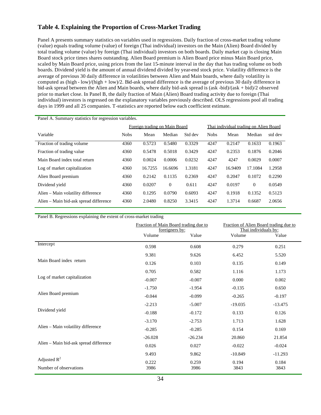# **Table 4. Explaining the Proportion of Cross-Market Trading**

Panel A presents summary statistics on variables used in regressions. Daily fraction of cross-market trading volume (value) equals trading volume (value) of foreign (Thai individual) investors on the Main (Alien) Board divided by total trading volume (value) by foreign (Thai individual) investors on both boards. Daily market cap is closing Main Board stock price times shares outstanding. Alien Board premium is Alien Board price minus Main Board price, scaled by Main Board price, using prices from the last 15-minute interval in the day that has trading volume on both boards. Dividend yield is the amount of annual dividend divided by year-end stock price. Volatility difference is the average of previous 30 daily difference in volatilities between Alien and Main boards, where daily volatility is computed as (high - low)/(high + low)/2. Bid-ask spread difference is the average of previous 30 daily difference in bid-ask spread between the Alien and Main boards, where daily bid-ask spread is (ask -bid)/(ask + bid)/2 observed prior to market close. In Panel B, the daily fraction of Main (Alien) Board trading activity due to foreign (Thai individual) investors is regressed on the explanatory variables previously described. OLS regressions pool all trading days in 1999 and all 25 companies. T-statistics are reported below each coefficient estimate.

| Panel A. Summary statistics for regression variables. |             |                               |                |         |                                        |         |                |         |  |  |
|-------------------------------------------------------|-------------|-------------------------------|----------------|---------|----------------------------------------|---------|----------------|---------|--|--|
|                                                       |             | Foreign trading on Main Board |                |         | Thai individual trading on Alien Board |         |                |         |  |  |
| Variable                                              | <b>Nobs</b> | Mean                          | Median         | Std dev | <b>Nobs</b>                            | Mean    | Median         | std dev |  |  |
| Fraction of trading volume.                           | 4360        | 0.5723                        | 0.5480         | 0.3329  | 4247                                   | 0.2147  | 0.1633         | 0.1963  |  |  |
| Fraction of trading value                             | 4360        | 0.5478                        | 0.5018         | 0.3429  | 4247                                   | 0.2353  | 0.1876         | 0.2046  |  |  |
| Main Board index total return                         | 4360        | 0.0024                        | 0.0006         | 0.0232  | 4247                                   | 4247    | 0.0029         | 0.0007  |  |  |
| Log of market capitalization                          | 4360        | 16.7255                       | 16.6696        | 1.3181  | 4247                                   | 16.9409 | 17.1084        | 1.2958  |  |  |
| Alien Board premium                                   | 4360        | 0.2142                        | 0.1135         | 0.2369  | 4247                                   | 0.2047  | 0.1072         | 0.2290  |  |  |
| Dividend yield                                        | 4360        | 0.0207                        | $\overline{0}$ | 0.611   | 4247                                   | 0.0197  | $\overline{0}$ | 0.0549  |  |  |
| Alien – Main volatility difference                    | 4360        | 0.1295                        | 0.0790         | 0.6093  | 4247                                   | 0.1918  | 0.1352         | 0.5123  |  |  |
| Alien – Main bid-ask spread difference                | 4360        | 2.0480                        | 0.8250         | 3.3415  | 4247                                   | 1.3714  | 0.6687         | 2.0656  |  |  |

Panel B. Regressions explaining the extent of cross-market trading

|                                          | Fraction of Main Board trading due to<br>foreigners by: |               | Fraction of Alien Board trading due to<br>Thai individuals by: |               |
|------------------------------------------|---------------------------------------------------------|---------------|----------------------------------------------------------------|---------------|
|                                          | Volume                                                  | Value         | Volume                                                         | Value         |
| Intercept                                | 0.598                                                   | 0.608         | 0.279                                                          | 0.251         |
|                                          | 9.381                                                   | 9.626         | 6.452                                                          | 5.520         |
| Main Board index return                  | 0.126                                                   | 0.103         | 0.135                                                          | 0.149         |
|                                          | 0.705                                                   | 0.582         | 1.116                                                          | 1.173         |
| Log of market capitalization             | $-0.007$                                                | $-0.007$      | 0.000                                                          | 0.002         |
|                                          | $-1.750$                                                | $-1.954$      | $-0.135$                                                       | 0.650         |
| Alien Board premium                      | $-0.044$                                                | $-0.099$      | $-0.265$                                                       | $-0.197$      |
|                                          | $-2.213$                                                | $-5.007$      | $-19.035$                                                      | $-13.475$     |
| Dividend yield                           | $-0.188$                                                | $-0.172$      | 0.133                                                          | 0.126         |
|                                          | $-3.170$                                                | $-2.753$      | 1.713                                                          | 1.628         |
| Alien - Main volatility difference       | $-0.285$                                                | $-0.285$      | 0.154                                                          | 0.169         |
|                                          | $-26.028$                                               | $-26.234$     | 20.860                                                         | 21.854        |
| Alien - Main bid-ask spread difference   | 0.026                                                   | 0.027         | $-0.022$                                                       | $-0.024$      |
|                                          | 9.493                                                   | 9.862         | $-10.849$                                                      | $-11.293$     |
| Adjusted $R^2$<br>Number of observations | 0.222<br>3986                                           | 0.259<br>3986 | 0.194<br>3843                                                  | 0.184<br>3843 |
|                                          |                                                         |               |                                                                |               |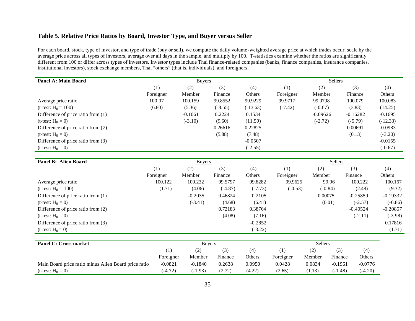## **Table 5. Relative Price Ratios by Board, Investor Type, and Buyer versus Seller**

For each board, stock, type of investor, and type of trade (buy or sell), we compute the daily volume-weighted average price at which trades occur, scale by the average price across all types of investors, average over all days in the sample, and multiply by 100. T-statistics examine whether the ratios are significantly different from 100 or differ across types of investors. Investor types include Thai finance-related companies (banks, finance companies, insurance companies, institutional investors), stock exchange members, Thai "others" (that is, individuals), and foreigners.

| Panel A: Main Board                |           | <b>Buyers</b> |           |            |           | <b>Sellers</b> |            |            |
|------------------------------------|-----------|---------------|-----------|------------|-----------|----------------|------------|------------|
|                                    | (1)       | (2)           | (3)       | (4)        | (1)       | (2)            | (3)        | (4)        |
|                                    | Foreigner | Member        | Finance   | Others     | Foreigner | Member         | Finance    | Others     |
| Average price ratio                | 100.07    | 100.159       | 99.8552   | 99.9229    | 99.9717   | 99.9798        | 100.079    | 100.083    |
| (t-test: $H_0 = 100$ )             | (6.80)    | (5.36)        | $(-8.55)$ | $(-13.63)$ | $(-7.42)$ | $(-0.67)$      | (3.83)     | (14.25)    |
| Difference of price ratio from (1) |           | $-0.1061$     | 0.2224    | 0.1534     |           | $-0.09626$     | $-0.16282$ | $-0.1695$  |
| (t-test: $H_0 = 0$ )               |           | $(-3.10)$     | (9.60)    | (11.59)    |           | $(-2.72)$      | $(-5.79)$  | $(-12.33)$ |
| Difference of price ratio from (2) |           |               | 0.26616   | 0.22825    |           |                | 0.00691    | $-0.0983$  |
| (t-test: $H_0 = 0$ )               |           |               | (5.88)    | (7.48)     |           |                | (0.13)     | $(-3.20)$  |
| Difference of price ratio from (3) |           |               |           | $-0.0507$  |           |                |            | $-0.0155$  |
| (t-test: $H_0 = 0$ )               |           |               |           | $(-2.55)$  |           |                |            | $(-0.67)$  |

| Panel B: Alien Board               |           | <b>Buyers</b> |           |           | Sellers   |           |            |               |  |  |
|------------------------------------|-----------|---------------|-----------|-----------|-----------|-----------|------------|---------------|--|--|
|                                    | (1)       | (2)           | (3)       | (4)       | (1)       | (2)       | (3)        | (4)           |  |  |
|                                    | Foreigner | Member        | Finance   | Others    | Foreigner | Member    | Finance    | <b>Others</b> |  |  |
| Average price ratio                | 100.122   | 100.232       | 99.5797   | 99.8282   | 99.9625   | 99.96     | 100.222    | 100.167       |  |  |
| (t-test: $H_0 = 100$ )             | (1.71)    | (4.06)        | $(-4.87)$ | $(-7.73)$ | $(-0.53)$ | $(-0.84)$ | (2.48)     | (9.32)        |  |  |
| Difference of price ratio from (1) |           | $-0.2035$     | 0.46824   | 0.2105    |           | 0.00075   | $-0.25859$ | $-0.19332$    |  |  |
| (t-test: $H_0 = 0$ )               |           | $(-3.41)$     | (4.68)    | (6.41)    |           | (0.01)    | $(-2.57)$  | $(-6.86)$     |  |  |
| Difference of price ratio from (2) |           |               | 0.72183   | 0.38764   |           |           | $-0.40524$ | $-0.20857$    |  |  |
| (t-test: $H_0 = 0$ )               |           |               | (4.08)    | (7.16)    |           |           | $(-2.11)$  | $(-3.98)$     |  |  |
| Difference of price ratio from (3) |           |               |           | $-0.2852$ |           |           |            | 0.17816       |  |  |
| (t-test: $H_0 = 0$ )               |           |               |           | $(-3.22)$ |           |           |            | (1.71)        |  |  |

| <b>Panel C: Cross-market</b>                         |           | <b>Buyers</b> |         |        | <b>Sellers</b> |        |           |           |  |
|------------------------------------------------------|-----------|---------------|---------|--------|----------------|--------|-----------|-----------|--|
|                                                      |           | (2)           |         | (4)    | (1)            | (2)    | (3)       | (4)       |  |
|                                                      | Foreigner | Member        | Finance | Others | Foreigner      | Member | Finance   | Others    |  |
| Main Board price ratio minus Alien Board price ratio | $-0.0821$ | $-0.1840$     | 0.2638  | 0.0950 | 0.0428         | 0.0834 | $-0.1961$ | $-0.0776$ |  |
| (t-test: $H_0 = 0$ )                                 | $-4.72$   | $(-1.93)$     | (2.72)  | (4.22) | (2.65)         | (1.13) | $(-1.48)$ | $(-4.20)$ |  |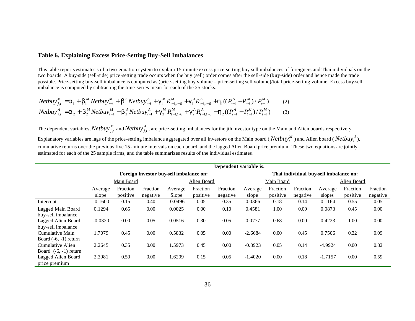#### **Table 6. Explaining Excess Price-Setting Buy-Sell Imbalances**

This table reports estimates s of a two-equation system to explain 15-minute excess price-setting buy-sell imbalances of foreigners and Thai individuals on the two boards. A buy-side (sell-side) price-setting trade occurs when the buy (sell) order comes after the sell-side (buy-side) order and hence made the trade possible. Price-setting buy-sell imbalance is computed as (price-setting buy volume – price-setting sell volume)/total price-setting volume. Excess buy-sell imbalance is computed by subtracting the time-series mean for each of the 25 stocks.

$$
Netbuy_{j,t}^{M} = \mathbf{a}_{1} + \mathbf{b}_{1}^{M} Netbuy_{t-1}^{M} + \mathbf{b}_{1}^{A} Netbuy_{t-1}^{A} + \mathbf{g}_{1}^{M} R_{t-1,t-6}^{M} + \mathbf{g}_{1}^{A} R_{t-1,t-6}^{A} + \mathbf{h}_{1} ((P_{t-1}^{A} - P_{t-1}^{M}) / P_{t-1}^{M})
$$
\n
$$
Netbuy_{j,t}^{A} = \mathbf{a}_{2} + \mathbf{b}_{2}^{M} Netbuy_{t-1}^{M} + \mathbf{b}_{2}^{A} Netbuy_{t-1}^{A} + \mathbf{g}_{2}^{M} R_{t-1,t-6}^{M} + \mathbf{g}_{2}^{A} R_{t-1,t-6}^{A} + \mathbf{h}_{2} ((P_{t-1}^{A} - P_{t-1}^{M}) / P_{t-1}^{M})
$$
\n
$$
(3)
$$

The dependent variables,  $Network_j^M$  and  $Network_j^A$ , are price-setting imbalances for the jth investor type on the Main and Alien boards respectively.

Explanatory variables are lags of the price-setting imbalance aggregated over all investors on the Main board (*Netbuy*<sup>*M*</sup>) and Alien board (*Netbuy*<sup>*A*</sup>), cumulative returns over the previous five 15-minute intervals on each board, and the lagged Alien Board price premium. These two equations are jointly estimated for each of the 25 sample firms, and the table summarizes results of the individual estimates.

|                         |           |            |                                         |           |             | Dependent variable is: |           |            |          |                                        |          |          |
|-------------------------|-----------|------------|-----------------------------------------|-----------|-------------|------------------------|-----------|------------|----------|----------------------------------------|----------|----------|
|                         |           |            | Foreign investor buy-sell imbalance on: |           |             |                        |           |            |          | Thai individual buy-sell imbalance on: |          |          |
|                         |           | Main Board |                                         |           | Alien Board |                        |           | Main Board |          | Alien Board                            |          |          |
|                         | Average   | Fraction   | Fraction                                | Average   | Fraction    | Fraction               | Average   | Fraction   | Fraction | Average                                | Fraction | Fraction |
|                         | slope     | positive   | negative                                | Slope     | positive    | negative               | slope     | positive   | negative | slopes                                 | positive | negative |
| Intercept               | $-0.1600$ | 0.15       | 0.40                                    | $-0.0496$ | 0.05        | 0.35                   | 0.0366    | 0.18       | 0.14     | 0.1164                                 | 0.55     | 0.05     |
| Lagged Main Board       | 0.1294    | 0.65       | 0.00                                    | 0.0025    | 0.00        | 0.10                   | 0.4581    | 1.00       | 0.00     | 0.0873                                 | 0.45     | 0.00     |
| buy-sell imbalance      |           |            |                                         |           |             |                        |           |            |          |                                        |          |          |
| Lagged Alien Board      | $-0.0320$ | 0.00       | 0.05                                    | 0.0516    | 0.30        | 0.05                   | 0.0777    | 0.68       | 0.00     | 0.4223                                 | 1.00     | 0.00     |
| buy-sell imbalance      |           |            |                                         |           |             |                        |           |            |          |                                        |          |          |
| Cumulative Main         | 1.7079    | 0.45       | 0.00                                    | 0.5832    | 0.05        | 0.00                   | $-2.6684$ | 0.00       | 0.45     | 0.7506                                 | 0.32     | 0.09     |
| Board $(-6, -1)$ return |           |            |                                         |           |             |                        |           |            |          |                                        |          |          |
| Cumulative Alien        | 2.2645    | 0.35       | 0.00                                    | 1.5973    | 0.45        | 0.00                   | $-0.8923$ | 0.05       | 0.14     | $-4.9924$                              | 0.00     | 0.82     |
| Board $(-6, -1)$ return |           |            |                                         |           |             |                        |           |            |          |                                        |          |          |
| Lagged Alien Board      | 2.3981    | 0.50       | 0.00                                    | .6209     | 0.15        | 0.05                   | $-1.4020$ | 0.00       | 0.18     | $-1.7157$                              | 0.00     | 0.59     |
| price premium           |           |            |                                         |           |             |                        |           |            |          |                                        |          |          |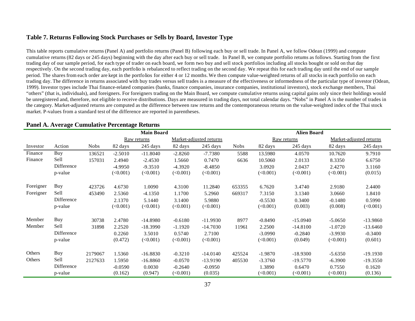#### **Table 7. Returns Following Stock Purchases or Sells by Board, Investor Type**

This table reports cumulative returns (Panel A) and portfolio returns (Panel B) following each buy or sell trade. In Panel A, we follow Odean (1999) and compute cumulative returns (82 days or 245 days) beginning with the day after each buy or sell trade. In Panel B, we compute portfolio returns as follows. Starting from the first trading day of our sample period, for each type of trader on each board, we form two buy and sell stock portfolios including all stocks bought or sold on that day respectively. On the second trading day, each portfolio is rebalanced to reflect trading on the second day. We repeat this for each trading day until the end of our sample period. The shares from each order are kept in the portfolios for either 4 or 12 months. We then compute value-weighted returns of all stocks in each portfolio on each trading day. The difference in returns associated with buy trades versus sell trades is a measure of the effectiveness or informedness of the particular type of investor (Odean, 1999). Investor types include Thai finance-related companies (banks, finance companies, insurance companies, institutional investors), stock exchange members, Thai "others" (that is, individuals), and foreigners. For foreigners trading on the Main Board, we compute cumulative returns using capital gains only since their holdings would be unregistered and, therefore, not eligible to receive distributions. Days are measured in trading days, not total calendar days. "Nobs" in Panel A is the number of trades in the category. Market-adjusted returns are computed as the difference between raw returns and the contemporaneous returns on the value-weighted index of the Thai stock market. P-values from a standard test of the difference are reported in parentheses.

|           |            |             | <b>Main Board</b> |             |           |                         |             | <b>Alien Board</b> |             |           |                         |  |  |
|-----------|------------|-------------|-------------------|-------------|-----------|-------------------------|-------------|--------------------|-------------|-----------|-------------------------|--|--|
|           |            |             |                   | Raw returns |           | Market-adjusted returns |             |                    | Raw returns |           | Market-adjusted returns |  |  |
| Investor  | Action     | <b>Nobs</b> | 82 days           | 245 days    | 82 days   | 245 days                | <b>Nobs</b> | 82 days            | 245 days    | 82 days   | 245 days                |  |  |
| Finance   | Buy        | 136521      | $-2.5010$         | $-11.8040$  | $-2.8260$ | $-7.7380$               | 5588        | 13.5980            | 4.0570      | 10.7620   | 9.7910                  |  |  |
| Finance   | Sell       | 157031      | 2.4940            | $-2.4530$   | 1.5660    | 0.7470                  | 6636        | 10.5060            | 2.0133      | 8.3350    | 6.6750                  |  |  |
|           | Difference |             | $-4.9950$         | $-9.3510$   | $-4.3920$ | $-8.4850$               |             | 3.0920             | 2.0437      | 2.4270    | 3.1160                  |  |  |
|           | p-value    |             | (<0.001)          | (<0.001)    | (<0.001)  | (<0.001)                |             | $(\leq 0.001)$     | (<0.001)    | (<0.001)  | (0.015)                 |  |  |
|           |            |             |                   |             |           |                         |             |                    |             |           |                         |  |  |
| Foreigner | Buy        | 423726      | 4.6730            | 1.0090      | 4.3100    | 11.2840                 | 653355      | 6.7620             | 3.4740      | 2.9180    | 2.4400                  |  |  |
| Foreigner | Sell       | 453490      | 2.5360            | $-4.1350$   | 1.1700    | 5.2960                  | 669317      | 7.3150             | 3.1340      | 3.0660    | 1.8410                  |  |  |
|           | Difference |             | 2.1370            | 5.1440      | 3.1400    | 5.9880                  |             | $-0.5530$          | 0.3400      | $-0.1480$ | 0.5990                  |  |  |
|           | p-value    |             | (<0.001)          | (<0.001)    | (<0.001)  | (<0.001)                |             | $(\leq 0.001)$     | (0.003)     | (0.008)   | (<0.001)                |  |  |
| Member    | Buy        | 30738       | 2.4780            | $-14.8980$  | $-0.6180$ | $-11.9930$              | 8977        | $-0.8490$          | $-15.0940$  | $-5.0650$ | $-13.9860$              |  |  |
| Member    | Sell       | 31898       | 2.2520            | $-18.3990$  | $-1.1920$ | $-14.7030$              | 11961       | 2.2500             | $-14.8100$  | $-1.0720$ | $-13.6460$              |  |  |
|           | Difference |             | 0.2260            | 3.5010      | 0.5740    | 2.7100                  |             | $-3.0990$          | $-0.2840$   | $-3.9930$ | $-0.3400$               |  |  |
|           | p-value    |             | (0.472)           | (<0.001)    | (<0.001)  | (<0.001)                |             | $(\leq 0.001)$     | (0.049)     | (<0.001)  | (0.601)                 |  |  |
|           |            |             |                   |             |           |                         |             |                    |             |           |                         |  |  |
| Others    | Buy        | 2179067     | 1.5360            | $-16.8830$  | $-0.3210$ | $-14.0140$              | 425524      | $-1.9870$          | $-18.9300$  | $-5.6350$ | $-19.1930$              |  |  |
| Others    | Sell       | 2127633     | 1.5950            | $-16.8860$  | $-0.0570$ | $-13.9190$              | 405530      | $-3.3760$          | $-19.5770$  | $-6.3900$ | $-19.3550$              |  |  |
|           | Difference |             | $-0.0590$         | 0.0030      | $-0.2640$ | $-0.0950$               |             | 1.3890             | 0.6470      | 0.7550    | 0.1620                  |  |  |
|           | p-value    |             | (0.162)           | (0.947)     | (<0.001)  | (0.035)                 |             | (<0.001)           | (<0.001)    | (<0.001)  | (0.136)                 |  |  |

#### **Panel A. Average Cumulative Percentage Returns**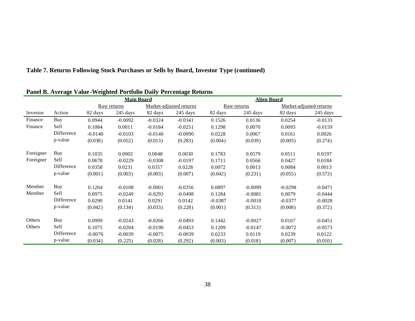| Table 7. Returns Following Stock Purchases or Sells by Board, Investor Type (continued) |  |  |  |  |  |  |  |  |  |  |
|-----------------------------------------------------------------------------------------|--|--|--|--|--|--|--|--|--|--|
|-----------------------------------------------------------------------------------------|--|--|--|--|--|--|--|--|--|--|

|           |            |             | <b>Main Board</b> |                         | <b>Alien Board</b> |           |             |                         |           |  |
|-----------|------------|-------------|-------------------|-------------------------|--------------------|-----------|-------------|-------------------------|-----------|--|
|           |            | Raw returns |                   | Market-adjusted returns |                    |           | Raw returns | Market-adjusted returns |           |  |
| Investor  | Action     | 82 days     | 245 days          | 82 days                 | $245 \text{ days}$ | 82 days   | 245 days    | 82 days                 | 245 days  |  |
| Finance   | Buy        | 0.0944      | $-0.0092$         | $-0.0324$               | $-0.0341$          | 0.1526    | 0.0136      | 0.0254                  | $-0.0133$ |  |
| Finance   | Sell       | 0.1084      | 0.0011            | $-0.0184$               | $-0.0251$          | 0.1298    | 0.0070      | 0.0093                  | $-0.0159$ |  |
|           | Difference | $-0.0140$   | $-0.0103$         | $-0.0140$               | $-0.0090$          | 0.0228    | 0.0067      | 0.0161                  | 0.0026    |  |
|           | p-value    | (0.038)     | (0.052)           | (0.013)                 | (0.283)            | (0.004)   | (0.039)     | (0.003)                 | (0.274)   |  |
| Foreigner | Buy        | 0.1035      | 0.0002            | 0.0048                  | 0.0030             | 0.1783    | 0.0579      | 0.0511                  | 0.0197    |  |
| Foreigner | Sell       | 0.0678      | $-0.0229$         | $-0.0308$               | $-0.0197$          | 0.1711    | 0.0566      | 0.0427                  | 0.0184    |  |
|           | Difference | 0.0358      | 0.0231            | 0.0357                  | 0.0228             | 0.0072    | 0.0013      | 0.0084                  | 0.0013    |  |
|           | p-value    | (0.001)     | (0.003)           | (0.003)                 | (0.007)            | (0.042)   | (0.231)     | (0.055)                 | (0.573)   |  |
| Member    | Buy        | 0.1264      | $-0.0108$         | $-0.0001$               | $-0.0356$          | 0.0897    | $-0.0099$   | $-0.0298$               | $-0.0471$ |  |
| Member    | Sell       | 0.0975      | $-0.0249$         | $-0.0293$               | $-0.0498$          | 0.1284    | $-0.0081$   | 0.0079                  | $-0.0444$ |  |
|           | Difference | 0.0290      | 0.0141            | 0.0291                  | 0.0142             | $-0.0387$ | $-0.0018$   | $-0.0377$               | $-0.0028$ |  |
|           | p-value    | (0.042)     | (0.134)           | (0.033)                 | (0.228)            | (0.001)   | (0.313)     | (0.008)                 | (0.372)   |  |
| Others    | Buy        | 0.0999      | $-0.0243$         | $-0.0266$               | $-0.0493$          | 0.1442    | $-0.0027$   | 0.0167                  | $-0.0451$ |  |
| Others    | Sell       | 0.1075      | $-0.0204$         | $-0.0190$               | $-0.0453$          | 0.1209    | $-0.0147$   | $-0.0072$               | $-0.0573$ |  |
|           | Difference | $-0.0076$   | $-0.0039$         | $-0.0075$               | $-0.0039$          | 0.0233    | 0.0119      | 0.0239                  | 0.0122    |  |
|           | p-value    | (0.034)     | (0.225)           | (0.028)                 | (0.292)            | (0.003)   | (0.018)     | (0.007)                 | (0.010)   |  |

# **Panel B. Average Value -Weighted Portfolio Daily Percentage Returns**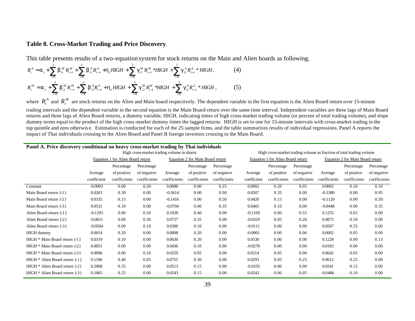#### **Table 8. Cross-Market Trading and Price Discovery**

= 1 *i*

= 1 *i*

This table presents results of a two-equation system for stock returns on the Main and Alien boards as following.

1 *i*

$$
R_{t}^{A} = \mathbf{a}_{1} + \sum_{i=1}^{3} \mathbf{b}_{i1}^{M} R_{t-i}^{M} + \sum_{i=1}^{3} \mathbf{b}_{i1}^{A} R_{t-i}^{A} + \mathbf{h}_{1} H I G H + \sum_{i=1}^{3} \mathbf{g}_{i1}^{M} R_{t-i}^{M} * H I G H + \sum_{i=1}^{3} \mathbf{g}_{i1}^{A} R_{t-i}^{A} * H I G H,
$$
\n(4)\n
$$
R_{t}^{M} = \mathbf{a}_{2} + \sum_{i=1}^{3} \mathbf{b}_{i2}^{M} R_{t-i}^{M} + \sum_{i=1}^{3} \mathbf{b}_{i2}^{A} R_{t-i}^{A} + \mathbf{h}_{2} H I G H + \sum_{i=1}^{3} \mathbf{g}_{i2}^{M} R_{t-i}^{M} * H I G H + \sum_{i=1}^{3} \mathbf{g}_{i2}^{A} R_{t-i}^{A} * H I G H,
$$
\n(5)

= 1 *i*

where  $R_t^A$  and  $R_t^M$  are stock returns on the Alien and Main board respectively. The dependent variable in the first equation is the Alien Board return over 15-minute trading intervals and the dependent variable in the second equation is the Main Board return over the same time interval. Independent variables are three lags of Main Board returns and three lags of Alien Board returns, a dummy variable, HIGH, indicating times of high cross-market trading volume (or percent of total trading volume), and slope dummy terms equal to the product of the high cross-market dummy times the lagged returns. HIGH is set to one for 15-minute intervals with cross-market trading in the top quintile and zero otherwis e. Estimation is conducted for each of the 25 sample firms, and the table summarizes results of individual regressions. Panel A reports the impact of Thai individuals crossing to the Alien Board and Panel B foreign investors crossing to the Main Board.

| Panel A. Price discovery conditional on heavy cross-market trading by Thai individuals |                                            |              |              |                                  |              |              |                                   |                                                                      |              |                                  |              |              |  |  |
|----------------------------------------------------------------------------------------|--------------------------------------------|--------------|--------------|----------------------------------|--------------|--------------|-----------------------------------|----------------------------------------------------------------------|--------------|----------------------------------|--------------|--------------|--|--|
|                                                                                        | High cross-market trading volume in shares |              |              |                                  |              |              |                                   | High cross-market trading volume as fraction of total trading volume |              |                                  |              |              |  |  |
|                                                                                        | Equation 1 for Alien Board return          |              |              | Equation 2 for Main Board return |              |              | Equation 1 for Alien Board return |                                                                      |              | Equation 2 for Main Board return |              |              |  |  |
|                                                                                        |                                            | Percentage   | Percentage   |                                  | Percentage   | Percentage   |                                   | Percentage                                                           | Percentage   |                                  | Percentage   | Percentage   |  |  |
|                                                                                        | Average                                    | of positive  | of negative  | Average                          | of positive  | of negative  | Average                           | of positive                                                          | of negative  | Average                          | of positive  | of negative  |  |  |
|                                                                                        | coefficient                                | coefficients | coefficients | coefficients                     | coefficients | coefficients | coefficient                       | coefficients                                                         | coefficients | coefficients                     | coefficients | coefficients |  |  |
| Constant                                                                               | $-0.0003$                                  | 0.00         | 0.20         | 0.0000                           | 0.00         | 0.25         | 0.0002                            | 0.20                                                                 | 0.05         | 0.0002                           | 0.10         | 0.10         |  |  |
| Main Board return $\{-1\}$                                                             | 0.0263                                     | 0.30         | 0.00         | $-0.3614$                        | 0.00         | 0.90         | 0.0507                            | 0.35                                                                 | 0.00         | $-0.3380$                        | 0.00         | 0.95         |  |  |
| Main Board return {-2}                                                                 | 0.0335                                     | 0.15         | 0.00         | $-0.1416$                        | 0.00         | 0.50         | 0.0420                            | 0.15                                                                 | 0.00         | $-0.1120$                        | 0.00         | 0.50         |  |  |
| Main Board return {-3}                                                                 | 0.0531                                     | 0.10         | 0.00         | $-0.0704$                        | 0.00         | 0.35         | 0.0405                            | 0.10                                                                 | 0.00         | $-0.0448$                        | 0.00         | 0.35         |  |  |
| Alien Board return {-1}                                                                | $-0.1293$                                  | 0.00         | 0.50         | 0.1028                           | 0.40         | 0.00         | $-0.1169$                         | 0.00                                                                 | 0.55         | 0.1255                           | 0.65         | 0.00         |  |  |
| Alien Board return {-2}                                                                | $-0.0651$                                  | 0.00         | 0.30         | 0.0727                           | 0.35         | 0.00         | $-0.0329$                         | 0.05                                                                 | 0.20         | 0.0875                           | 0.50         | 0.00         |  |  |
| Alien Board return $\{-3\}$                                                            | $-0.0504$                                  | 0.00         | 0.10         | 0.0300                           | 0.10         | 0.00         | $-0.0111$                         | 0.00                                                                 | 0.00         | 0.0507                           | 0.35         | 0.00         |  |  |
| <b>HIGH</b> dummy                                                                      | 0.0014                                     | 0.20         | 0.00         | 0.0008                           | 0.20         | 0.00         | $-0.0001$                         | 0.00                                                                 | 0.06         | 0.0002                           | 0.05         | 0.00         |  |  |
| $HIGH * Main Board return \{-1\}$                                                      | 0.0319                                     | 0.10         | 0.00         | 0.0630                           | 0.20         | 0.00         | 0.0530                            | 0.00                                                                 | 0.00         | 0.1228                           | 0.00         | 0.13         |  |  |
| $HIGH * Main Board return \{-2\}$                                                      | 0.0051                                     | 0.00         | 0.00         | 0.0436                           | 0.10         | 0.00         | $-0.0270$                         | 0.00                                                                 | 0.00         | 0.0183                           | 0.00         | 0.00         |  |  |
| $HIGH * Main Board return \{-3\}$                                                      | 0.0006                                     | 0.00         | 0.10         | 0.0259                           | 0.05         | 0.00         | 0.0214                            | 0.05                                                                 | 0.00         | 0.0642                           | 0.05         | 0.00         |  |  |
| HIGH * Alien Board return {-1}                                                         | 0.1596                                     | 0.40         | 0.05         | 0.0755                           | 0.30         | 0.00         | 0.0293                            | 0.05                                                                 | 0.25         | 0.0612                           | 0.25         | 0.00         |  |  |
| HIGH $*$ Alien Board return $\{ -2 \}$                                                 | 0.2068                                     | 0.35         | 0.00         | 0.0513                           | 0.15         | 0.00         | $-0.0103$                         | 0.00                                                                 | 0.00         | 0.0241                           | 0.15         | 0.00         |  |  |
| $HIGH * Alien Board return \{-3\}$                                                     | 0.1065                                     | 0.25         | 0.00         | 0.0543                           | 0.15         | 0.00         | 0.0243                            | 0.06                                                                 | 0.05         | 0.0484                           | 0.10         | 0.00         |  |  |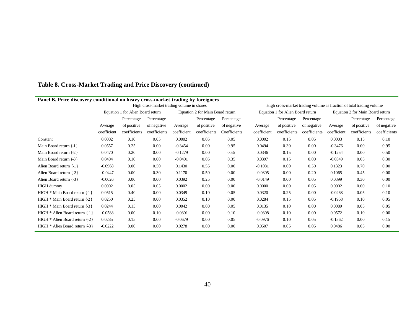| Panel B. Price discovery conditional on heavy cross-market trading by foreigners |                                            |              |              |                                  |              |              |                                   |                                                                      |              |                                  |              |              |  |  |
|----------------------------------------------------------------------------------|--------------------------------------------|--------------|--------------|----------------------------------|--------------|--------------|-----------------------------------|----------------------------------------------------------------------|--------------|----------------------------------|--------------|--------------|--|--|
|                                                                                  | High cross-market trading volume in shares |              |              |                                  |              |              |                                   | High cross-market trading volume as fraction of total trading volume |              |                                  |              |              |  |  |
|                                                                                  | Equation 1 for Alien Board return          |              |              | Equation 2 for Main Board return |              |              | Equation 1 for Alien Board return |                                                                      |              | Equation 2 for Main Board return |              |              |  |  |
|                                                                                  |                                            | Percentage   | Percentage   |                                  | Percentage   | Percentage   |                                   | Percentage                                                           | Percentage   |                                  | Percentage   | Percentage   |  |  |
|                                                                                  | Average                                    | of positive  | of negative  | Average                          | of positive  | of negative  | Average                           | of positive                                                          | of negative  | Average                          | of positive  | of negative  |  |  |
|                                                                                  | coefficient                                | coefficients | coefficients | coefficient                      | coefficients | Coefficients | coefficient                       | coefficients                                                         | coefficients | coefficient                      | coefficients | coefficients |  |  |
| Constant                                                                         | 0.0002                                     | 0.10         | 0.05         | 0.0002                           | 0.05         | 0.05         | 0.0002                            | 0.15                                                                 | 0.05         | 0.0003                           | 0.15         | 0.10         |  |  |
| Main Board return {-1}                                                           | 0.0557                                     | 0.25         | 0.00         | $-0.3454$                        | 0.00         | 0.95         | 0.0494                            | 0.30                                                                 | 0.00         | $-0.3476$                        | 0.00         | 0.95         |  |  |
| Main Board return {-2}                                                           | 0.0470                                     | 0.20         | 0.00         | $-0.1279$                        | 0.00         | 0.55         | 0.0346                            | 0.15                                                                 | 0.00         | $-0.1254$                        | 0.00         | 0.50         |  |  |
| Main Board return {-3}                                                           | 0.0404                                     | 0.10         | 0.00         | $-0.0401$                        | 0.05         | 0.35         | 0.0397                            | 0.15                                                                 | 0.00         | $-0.0349$                        | 0.05         | 0.30         |  |  |
| Alien Board return {-1}                                                          | $-0.0968$                                  | 0.00         | 0.50         | 0.1430                           | 0.55         | 0.00         | $-0.1081$                         | 0.00                                                                 | 0.50         | 0.1323                           | 0.70         | 0.00         |  |  |
| Alien Board return {-2}                                                          | $-0.0447$                                  | 0.00         | 0.30         | 0.1170                           | 0.50         | 0.00         | $-0.0305$                         | 0.00                                                                 | 0.20         | 0.1065                           | 0.45         | 0.00         |  |  |
| Alien Board return {-3}                                                          | $-0.0026$                                  | 0.00         | 0.00         | 0.0392                           | 0.25         | 0.00         | $-0.0149$                         | 0.00                                                                 | 0.05         | 0.0399                           | 0.30         | 0.00         |  |  |
| <b>HIGH</b> dummy                                                                | 0.0002                                     | 0.05         | 0.05         | 0.0002                           | 0.00         | 0.00         | 0.0000                            | 0.00                                                                 | 0.05         | 0.0002                           | 0.00         | 0.10         |  |  |
| HIGH * Main Board return {-1}                                                    | 0.0515                                     | 0.40         | 0.00         | 0.0349                           | 0.10         | 0.05         | 0.0320                            | 0.25                                                                 | 0.00         | $-0.0268$                        | 0.05         | 0.10         |  |  |
| HIGH * Main Board return {-2}                                                    | 0.0250                                     | 0.25         | 0.00         | 0.0352                           | 0.10         | 0.00         | 0.0284                            | 0.15                                                                 | 0.05         | $-0.1968$                        | 0.10         | 0.05         |  |  |
| HIGH * Main Board return {-3}                                                    | 0.0244                                     | 0.15         | 0.00         | 0.0042                           | 0.00         | 0.05         | 0.0135                            | 0.10                                                                 | 0.00         | 0.0089                           | 0.05         | 0.05         |  |  |
| $HIGH * Alien Board return \{1\}$                                                | $-0.0588$                                  | 0.00         | 0.10         | $-0.0301$                        | 0.00         | 0.10         | $-0.0308$                         | 0.10                                                                 | 0.00         | 0.0572                           | 0.10         | 0.00         |  |  |
| $HIGH * Alien Board return \{2\}$                                                | 0.0285                                     | 0.15         | 0.00         | $-0.0679$                        | 0.00         | 0.05         | $-0.0976$                         | 0.10                                                                 | 0.05         | $-0.1362$                        | 0.00         | 0.15         |  |  |
| $HIGH * Alien Board return {-3}$                                                 | $-0.0222$                                  | 0.00         | 0.00         | 0.0278                           | 0.00         | 0.00         | 0.0507                            | 0.05                                                                 | 0.05         | 0.0486                           | 0.05         | 0.00         |  |  |

# **Table 8. Cross-Market Trading and Price Discovery (continued)**